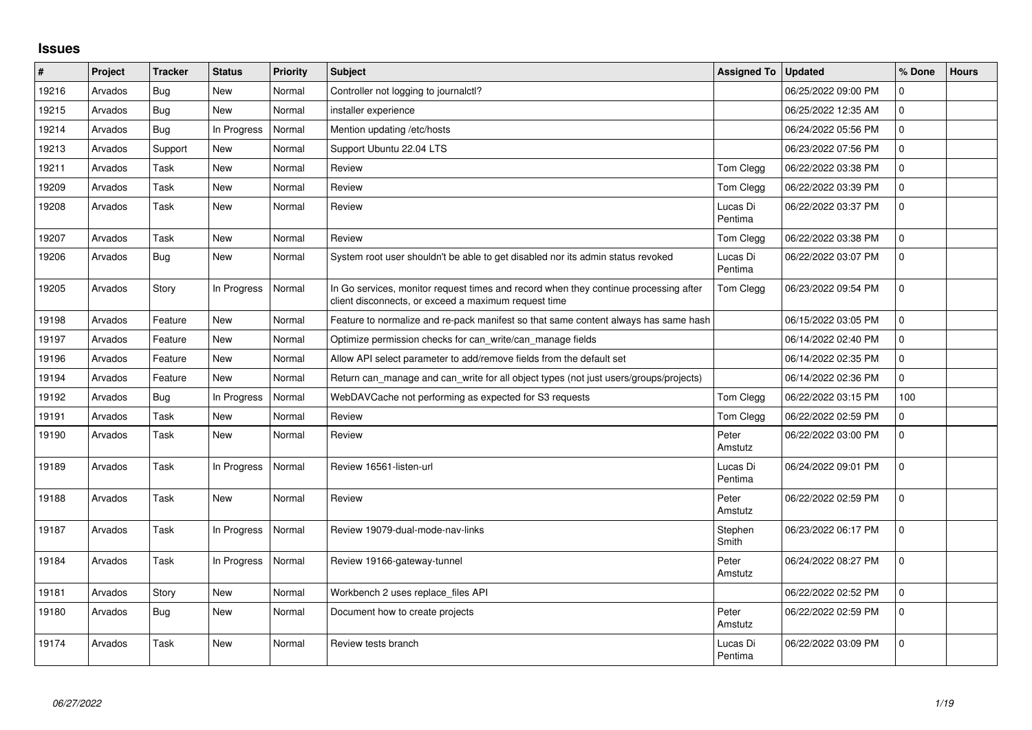## **Issues**

| #     | Project | <b>Tracker</b> | <b>Status</b> | <b>Priority</b> | <b>Subject</b>                                                                                                                               | Assigned To   Updated |                     | % Done         | <b>Hours</b> |
|-------|---------|----------------|---------------|-----------------|----------------------------------------------------------------------------------------------------------------------------------------------|-----------------------|---------------------|----------------|--------------|
| 19216 | Arvados | Bug            | <b>New</b>    | Normal          | Controller not logging to journalctl?                                                                                                        |                       | 06/25/2022 09:00 PM | $\overline{0}$ |              |
| 19215 | Arvados | <b>Bug</b>     | New           | Normal          | installer experience                                                                                                                         |                       | 06/25/2022 12:35 AM | $\mathbf 0$    |              |
| 19214 | Arvados | <b>Bug</b>     | In Progress   | Normal          | Mention updating /etc/hosts                                                                                                                  |                       | 06/24/2022 05:56 PM | $\mathbf 0$    |              |
| 19213 | Arvados | Support        | <b>New</b>    | Normal          | Support Ubuntu 22.04 LTS                                                                                                                     |                       | 06/23/2022 07:56 PM | $\Omega$       |              |
| 19211 | Arvados | Task           | <b>New</b>    | Normal          | Review                                                                                                                                       | Tom Clegg             | 06/22/2022 03:38 PM | $\Omega$       |              |
| 19209 | Arvados | Task           | <b>New</b>    | Normal          | Review                                                                                                                                       | Tom Clegg             | 06/22/2022 03:39 PM | 0              |              |
| 19208 | Arvados | Task           | New           | Normal          | Review                                                                                                                                       | Lucas Di<br>Pentima   | 06/22/2022 03:37 PM | $\Omega$       |              |
| 19207 | Arvados | Task           | <b>New</b>    | Normal          | Review                                                                                                                                       | Tom Clegg             | 06/22/2022 03:38 PM | $\Omega$       |              |
| 19206 | Arvados | <b>Bug</b>     | <b>New</b>    | Normal          | System root user shouldn't be able to get disabled nor its admin status revoked                                                              | Lucas Di<br>Pentima   | 06/22/2022 03:07 PM | $\mathbf 0$    |              |
| 19205 | Arvados | Story          | In Progress   | Normal          | In Go services, monitor request times and record when they continue processing after<br>client disconnects, or exceed a maximum request time | Tom Clegg             | 06/23/2022 09:54 PM | 0              |              |
| 19198 | Arvados | Feature        | <b>New</b>    | Normal          | Feature to normalize and re-pack manifest so that same content always has same hash                                                          |                       | 06/15/2022 03:05 PM | 0              |              |
| 19197 | Arvados | Feature        | <b>New</b>    | Normal          | Optimize permission checks for can_write/can_manage fields                                                                                   |                       | 06/14/2022 02:40 PM | $\Omega$       |              |
| 19196 | Arvados | Feature        | <b>New</b>    | Normal          | Allow API select parameter to add/remove fields from the default set                                                                         |                       | 06/14/2022 02:35 PM | $\Omega$       |              |
| 19194 | Arvados | Feature        | <b>New</b>    | Normal          | Return can_manage and can_write for all object types (not just users/groups/projects)                                                        |                       | 06/14/2022 02:36 PM | $\mathbf 0$    |              |
| 19192 | Arvados | <b>Bug</b>     | In Progress   | Normal          | WebDAVCache not performing as expected for S3 requests                                                                                       | Tom Clegg             | 06/22/2022 03:15 PM | 100            |              |
| 19191 | Arvados | Task           | New           | Normal          | Review                                                                                                                                       | Tom Clegg             | 06/22/2022 02:59 PM | $\mathbf 0$    |              |
| 19190 | Arvados | Task           | <b>New</b>    | Normal          | Review                                                                                                                                       | Peter<br>Amstutz      | 06/22/2022 03:00 PM | $\mathbf 0$    |              |
| 19189 | Arvados | Task           | In Progress   | Normal          | Review 16561-listen-url                                                                                                                      | Lucas Di<br>Pentima   | 06/24/2022 09:01 PM | 0              |              |
| 19188 | Arvados | Task           | <b>New</b>    | Normal          | Review                                                                                                                                       | Peter<br>Amstutz      | 06/22/2022 02:59 PM | 0              |              |
| 19187 | Arvados | Task           | In Progress   | Normal          | Review 19079-dual-mode-nav-links                                                                                                             | Stephen<br>Smith      | 06/23/2022 06:17 PM | 0              |              |
| 19184 | Arvados | Task           | In Progress   | Normal          | Review 19166-gateway-tunnel                                                                                                                  | Peter<br>Amstutz      | 06/24/2022 08:27 PM | $\mathbf 0$    |              |
| 19181 | Arvados | Story          | New           | Normal          | Workbench 2 uses replace files API                                                                                                           |                       | 06/22/2022 02:52 PM | $\mathbf 0$    |              |
| 19180 | Arvados | <b>Bug</b>     | New           | Normal          | Document how to create projects                                                                                                              | Peter<br>Amstutz      | 06/22/2022 02:59 PM | $\Omega$       |              |
| 19174 | Arvados | Task           | <b>New</b>    | Normal          | Review tests branch                                                                                                                          | Lucas Di<br>Pentima   | 06/22/2022 03:09 PM | $\Omega$       |              |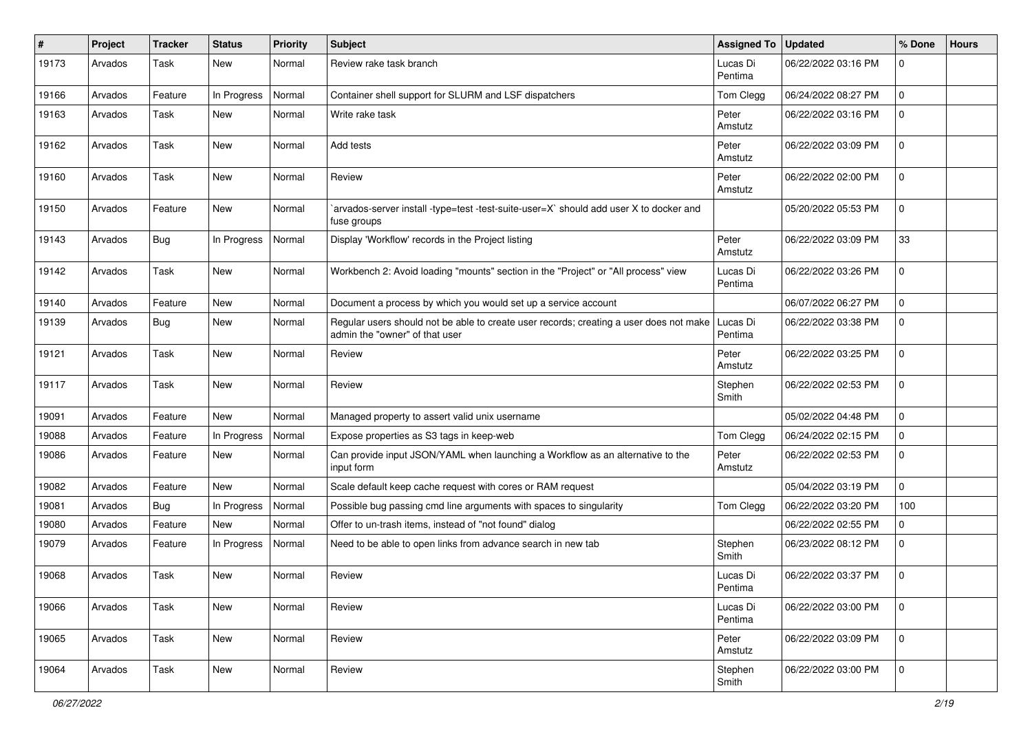| #     | Project | <b>Tracker</b> | <b>Status</b> | <b>Priority</b> | <b>Subject</b>                                                                                                           | <b>Assigned To</b>  | <b>Updated</b>      | % Done              | <b>Hours</b> |
|-------|---------|----------------|---------------|-----------------|--------------------------------------------------------------------------------------------------------------------------|---------------------|---------------------|---------------------|--------------|
| 19173 | Arvados | Task           | New           | Normal          | Review rake task branch                                                                                                  | Lucas Di<br>Pentima | 06/22/2022 03:16 PM | $\mathbf 0$         |              |
| 19166 | Arvados | Feature        | In Progress   | Normal          | Container shell support for SLURM and LSF dispatchers                                                                    | Tom Clegg           | 06/24/2022 08:27 PM | $\mathbf 0$         |              |
| 19163 | Arvados | Task           | New           | Normal          | Write rake task                                                                                                          | Peter<br>Amstutz    | 06/22/2022 03:16 PM | $\mathbf 0$         |              |
| 19162 | Arvados | Task           | New           | Normal          | Add tests                                                                                                                | Peter<br>Amstutz    | 06/22/2022 03:09 PM | 0                   |              |
| 19160 | Arvados | Task           | New           | Normal          | Review                                                                                                                   | Peter<br>Amstutz    | 06/22/2022 02:00 PM | $\mathbf 0$         |              |
| 19150 | Arvados | Feature        | New           | Normal          | arvados-server install -type=test -test-suite-user=X` should add user X to docker and<br>fuse groups                     |                     | 05/20/2022 05:53 PM | $\mathsf{O}\xspace$ |              |
| 19143 | Arvados | Bug            | In Progress   | Normal          | Display 'Workflow' records in the Project listing                                                                        | Peter<br>Amstutz    | 06/22/2022 03:09 PM | 33                  |              |
| 19142 | Arvados | Task           | New           | Normal          | Workbench 2: Avoid loading "mounts" section in the "Project" or "All process" view                                       | Lucas Di<br>Pentima | 06/22/2022 03:26 PM | $\mathbf 0$         |              |
| 19140 | Arvados | Feature        | New           | Normal          | Document a process by which you would set up a service account                                                           |                     | 06/07/2022 06:27 PM | 0                   |              |
| 19139 | Arvados | <b>Bug</b>     | New           | Normal          | Regular users should not be able to create user records; creating a user does not make<br>admin the "owner" of that user | Lucas Di<br>Pentima | 06/22/2022 03:38 PM | 0                   |              |
| 19121 | Arvados | Task           | New           | Normal          | Review                                                                                                                   | Peter<br>Amstutz    | 06/22/2022 03:25 PM | $\mathbf 0$         |              |
| 19117 | Arvados | Task           | <b>New</b>    | Normal          | Review                                                                                                                   | Stephen<br>Smith    | 06/22/2022 02:53 PM | $\mathbf{0}$        |              |
| 19091 | Arvados | Feature        | New           | Normal          | Managed property to assert valid unix username                                                                           |                     | 05/02/2022 04:48 PM | $\mathbf 0$         |              |
| 19088 | Arvados | Feature        | In Progress   | Normal          | Expose properties as S3 tags in keep-web                                                                                 | Tom Clegg           | 06/24/2022 02:15 PM | 0                   |              |
| 19086 | Arvados | Feature        | New           | Normal          | Can provide input JSON/YAML when launching a Workflow as an alternative to the<br>input form                             | Peter<br>Amstutz    | 06/22/2022 02:53 PM | $\mathbf 0$         |              |
| 19082 | Arvados | Feature        | <b>New</b>    | Normal          | Scale default keep cache request with cores or RAM request                                                               |                     | 05/04/2022 03:19 PM | $\mathbf 0$         |              |
| 19081 | Arvados | Bug            | In Progress   | Normal          | Possible bug passing cmd line arguments with spaces to singularity                                                       | Tom Clegg           | 06/22/2022 03:20 PM | 100                 |              |
| 19080 | Arvados | Feature        | New           | Normal          | Offer to un-trash items, instead of "not found" dialog                                                                   |                     | 06/22/2022 02:55 PM | 0                   |              |
| 19079 | Arvados | Feature        | In Progress   | Normal          | Need to be able to open links from advance search in new tab                                                             | Stephen<br>Smith    | 06/23/2022 08:12 PM | $\mathbf 0$         |              |
| 19068 | Arvados | Task           | <b>New</b>    | Normal          | Review                                                                                                                   | Lucas Di<br>Pentima | 06/22/2022 03:37 PM | $\mathbf 0$         |              |
| 19066 | Arvados | Task           | New           | Normal          | Review                                                                                                                   | Lucas Di<br>Pentima | 06/22/2022 03:00 PM | $\mathbf 0$         |              |
| 19065 | Arvados | Task           | New           | Normal          | Review                                                                                                                   | Peter<br>Amstutz    | 06/22/2022 03:09 PM | $\mathbf 0$         |              |
| 19064 | Arvados | Task           | New           | Normal          | Review                                                                                                                   | Stephen<br>Smith    | 06/22/2022 03:00 PM | $\mathbf 0$         |              |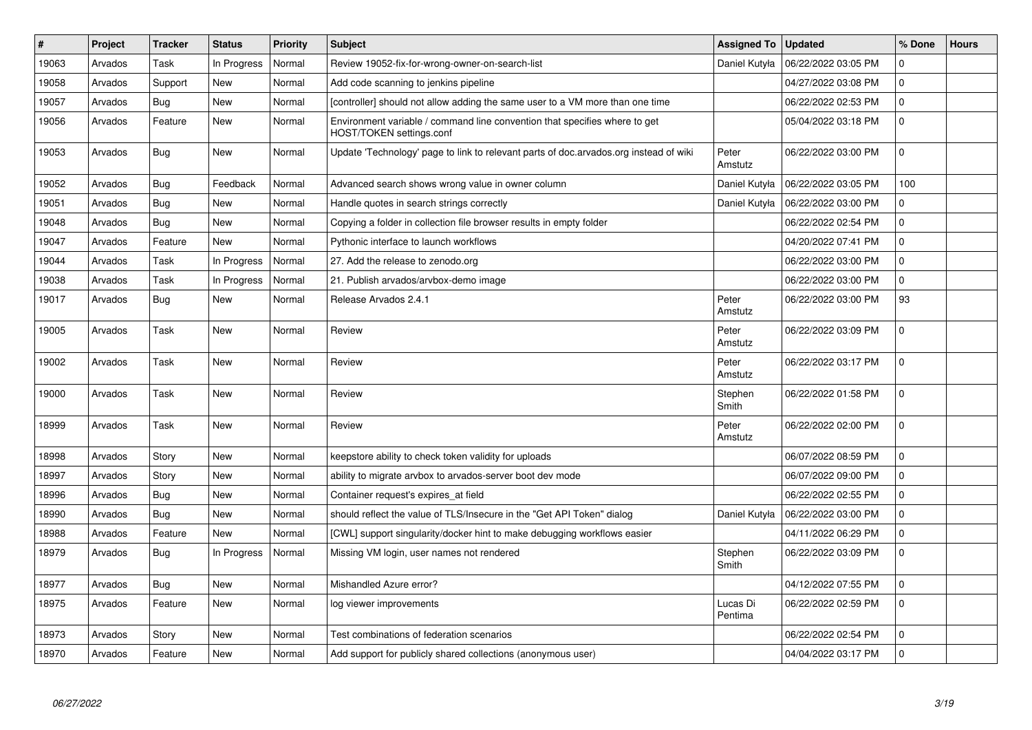| #     | Project | <b>Tracker</b> | <b>Status</b> | <b>Priority</b> | <b>Subject</b>                                                                                         | <b>Assigned To</b>  | <b>Updated</b>      | % Done      | <b>Hours</b> |
|-------|---------|----------------|---------------|-----------------|--------------------------------------------------------------------------------------------------------|---------------------|---------------------|-------------|--------------|
| 19063 | Arvados | Task           | In Progress   | Normal          | Review 19052-fix-for-wrong-owner-on-search-list                                                        | Daniel Kutyła       | 06/22/2022 03:05 PM | $\mathbf 0$ |              |
| 19058 | Arvados | Support        | <b>New</b>    | Normal          | Add code scanning to jenkins pipeline                                                                  |                     | 04/27/2022 03:08 PM | $\Omega$    |              |
| 19057 | Arvados | Bug            | <b>New</b>    | Normal          | [controller] should not allow adding the same user to a VM more than one time                          |                     | 06/22/2022 02:53 PM | $\mathbf 0$ |              |
| 19056 | Arvados | Feature        | <b>New</b>    | Normal          | Environment variable / command line convention that specifies where to get<br>HOST/TOKEN settings.conf |                     | 05/04/2022 03:18 PM | $\Omega$    |              |
| 19053 | Arvados | Bug            | <b>New</b>    | Normal          | Update 'Technology' page to link to relevant parts of doc.arvados.org instead of wiki                  | Peter<br>Amstutz    | 06/22/2022 03:00 PM | $\Omega$    |              |
| 19052 | Arvados | Bug            | Feedback      | Normal          | Advanced search shows wrong value in owner column                                                      | Daniel Kutyła       | 06/22/2022 03:05 PM | 100         |              |
| 19051 | Arvados | Bug            | <b>New</b>    | Normal          | Handle quotes in search strings correctly                                                              | Daniel Kutyła       | 06/22/2022 03:00 PM | $\mathbf 0$ |              |
| 19048 | Arvados | Bug            | <b>New</b>    | Normal          | Copying a folder in collection file browser results in empty folder                                    |                     | 06/22/2022 02:54 PM | $\Omega$    |              |
| 19047 | Arvados | Feature        | <b>New</b>    | Normal          | Pythonic interface to launch workflows                                                                 |                     | 04/20/2022 07:41 PM | 0           |              |
| 19044 | Arvados | Task           | In Progress   | Normal          | 27. Add the release to zenodo.org                                                                      |                     | 06/22/2022 03:00 PM | $\mathbf 0$ |              |
| 19038 | Arvados | Task           | In Progress   | Normal          | 21. Publish arvados/arvbox-demo image                                                                  |                     | 06/22/2022 03:00 PM | $\mathbf 0$ |              |
| 19017 | Arvados | Bug            | <b>New</b>    | Normal          | Release Arvados 2.4.1                                                                                  | Peter<br>Amstutz    | 06/22/2022 03:00 PM | 93          |              |
| 19005 | Arvados | Task           | <b>New</b>    | Normal          | Review                                                                                                 | Peter<br>Amstutz    | 06/22/2022 03:09 PM | $\Omega$    |              |
| 19002 | Arvados | Task           | <b>New</b>    | Normal          | Review                                                                                                 | Peter<br>Amstutz    | 06/22/2022 03:17 PM | $\Omega$    |              |
| 19000 | Arvados | Task           | <b>New</b>    | Normal          | Review                                                                                                 | Stephen<br>Smith    | 06/22/2022 01:58 PM | $\mathbf 0$ |              |
| 18999 | Arvados | Task           | <b>New</b>    | Normal          | Review                                                                                                 | Peter<br>Amstutz    | 06/22/2022 02:00 PM | $\mathbf 0$ |              |
| 18998 | Arvados | Story          | <b>New</b>    | Normal          | keepstore ability to check token validity for uploads                                                  |                     | 06/07/2022 08:59 PM | $\Omega$    |              |
| 18997 | Arvados | Story          | New           | Normal          | ability to migrate arvbox to arvados-server boot dev mode                                              |                     | 06/07/2022 09:00 PM | $\mathbf 0$ |              |
| 18996 | Arvados | Bug            | <b>New</b>    | Normal          | Container request's expires at field                                                                   |                     | 06/22/2022 02:55 PM | $\mathbf 0$ |              |
| 18990 | Arvados | Bug            | <b>New</b>    | Normal          | should reflect the value of TLS/Insecure in the "Get API Token" dialog                                 | Daniel Kutyła       | 06/22/2022 03:00 PM | $\mathbf 0$ |              |
| 18988 | Arvados | Feature        | New           | Normal          | [CWL] support singularity/docker hint to make debugging workflows easier                               |                     | 04/11/2022 06:29 PM | $\mathbf 0$ |              |
| 18979 | Arvados | Bug            | In Progress   | Normal          | Missing VM login, user names not rendered                                                              | Stephen<br>Smith    | 06/22/2022 03:09 PM | $\mathbf 0$ |              |
| 18977 | Arvados | Bug            | <b>New</b>    | Normal          | Mishandled Azure error?                                                                                |                     | 04/12/2022 07:55 PM | $\mathbf 0$ |              |
| 18975 | Arvados | Feature        | <b>New</b>    | Normal          | log viewer improvements                                                                                | Lucas Di<br>Pentima | 06/22/2022 02:59 PM | $\Omega$    |              |
| 18973 | Arvados | Story          | <b>New</b>    | Normal          | Test combinations of federation scenarios                                                              |                     | 06/22/2022 02:54 PM | $\mathbf 0$ |              |
| 18970 | Arvados | Feature        | <b>New</b>    | Normal          | Add support for publicly shared collections (anonymous user)                                           |                     | 04/04/2022 03:17 PM | $\Omega$    |              |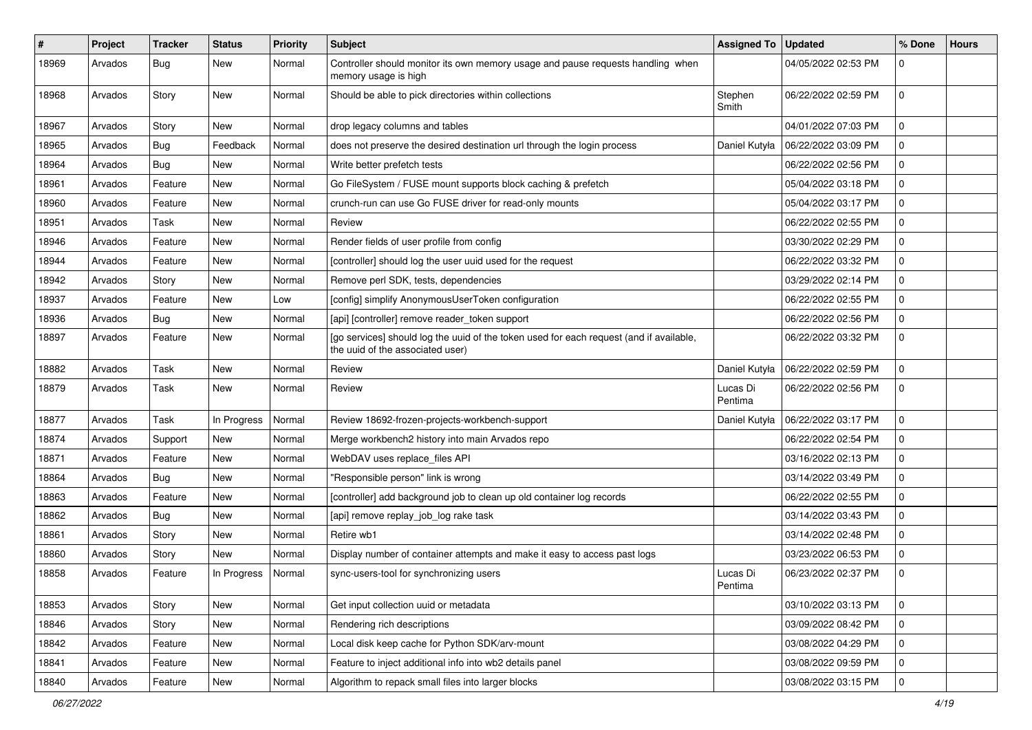| ∦     | Project | <b>Tracker</b> | <b>Status</b> | <b>Priority</b> | <b>Subject</b>                                                                                                              | <b>Assigned To</b>  | <b>Updated</b>      | % Done      | <b>Hours</b> |
|-------|---------|----------------|---------------|-----------------|-----------------------------------------------------------------------------------------------------------------------------|---------------------|---------------------|-------------|--------------|
| 18969 | Arvados | Bug            | New           | Normal          | Controller should monitor its own memory usage and pause requests handling when<br>memory usage is high                     |                     | 04/05/2022 02:53 PM | $\mathbf 0$ |              |
| 18968 | Arvados | Story          | New           | Normal          | Should be able to pick directories within collections                                                                       | Stephen<br>Smith    | 06/22/2022 02:59 PM | 0           |              |
| 18967 | Arvados | Story          | <b>New</b>    | Normal          | drop legacy columns and tables                                                                                              |                     | 04/01/2022 07:03 PM | $\mathbf 0$ |              |
| 18965 | Arvados | <b>Bug</b>     | Feedback      | Normal          | does not preserve the desired destination url through the login process                                                     | Daniel Kutyła       | 06/22/2022 03:09 PM | $\mathbf 0$ |              |
| 18964 | Arvados | <b>Bug</b>     | New           | Normal          | Write better prefetch tests                                                                                                 |                     | 06/22/2022 02:56 PM | $\mathbf 0$ |              |
| 18961 | Arvados | Feature        | New           | Normal          | Go FileSystem / FUSE mount supports block caching & prefetch                                                                |                     | 05/04/2022 03:18 PM | 0           |              |
| 18960 | Arvados | Feature        | New           | Normal          | crunch-run can use Go FUSE driver for read-only mounts                                                                      |                     | 05/04/2022 03:17 PM | $\mathbf 0$ |              |
| 18951 | Arvados | Task           | New           | Normal          | Review                                                                                                                      |                     | 06/22/2022 02:55 PM | 0           |              |
| 18946 | Arvados | Feature        | New           | Normal          | Render fields of user profile from config                                                                                   |                     | 03/30/2022 02:29 PM | $\mathbf 0$ |              |
| 18944 | Arvados | Feature        | New           | Normal          | [controller] should log the user uuid used for the request                                                                  |                     | 06/22/2022 03:32 PM | $\mathbf 0$ |              |
| 18942 | Arvados | Story          | New           | Normal          | Remove perl SDK, tests, dependencies                                                                                        |                     | 03/29/2022 02:14 PM | 0           |              |
| 18937 | Arvados | Feature        | New           | Low             | [config] simplify AnonymousUserToken configuration                                                                          |                     | 06/22/2022 02:55 PM | $\mathbf 0$ |              |
| 18936 | Arvados | <b>Bug</b>     | New           | Normal          | [api] [controller] remove reader_token support                                                                              |                     | 06/22/2022 02:56 PM | $\mathbf 0$ |              |
| 18897 | Arvados | Feature        | New           | Normal          | [go services] should log the uuid of the token used for each request (and if available,<br>the uuid of the associated user) |                     | 06/22/2022 03:32 PM | 0           |              |
| 18882 | Arvados | Task           | <b>New</b>    | Normal          | Review                                                                                                                      | Daniel Kutyła       | 06/22/2022 02:59 PM | 0           |              |
| 18879 | Arvados | Task           | New           | Normal          | Review                                                                                                                      | Lucas Di<br>Pentima | 06/22/2022 02:56 PM | $\mathbf 0$ |              |
| 18877 | Arvados | Task           | In Progress   | Normal          | Review 18692-frozen-projects-workbench-support                                                                              | Daniel Kutyła       | 06/22/2022 03:17 PM | $\mathbf 0$ |              |
| 18874 | Arvados | Support        | New           | Normal          | Merge workbench2 history into main Arvados repo                                                                             |                     | 06/22/2022 02:54 PM | $\mathbf 0$ |              |
| 18871 | Arvados | Feature        | <b>New</b>    | Normal          | WebDAV uses replace_files API                                                                                               |                     | 03/16/2022 02:13 PM | $\mathbf 0$ |              |
| 18864 | Arvados | Bug            | New           | Normal          | "Responsible person" link is wrong                                                                                          |                     | 03/14/2022 03:49 PM | 0           |              |
| 18863 | Arvados | Feature        | New           | Normal          | [controller] add background job to clean up old container log records                                                       |                     | 06/22/2022 02:55 PM | $\mathbf 0$ |              |
| 18862 | Arvados | Bug            | <b>New</b>    | Normal          | [api] remove replay_job_log rake task                                                                                       |                     | 03/14/2022 03:43 PM | 0           |              |
| 18861 | Arvados | Story          | New           | Normal          | Retire wb1                                                                                                                  |                     | 03/14/2022 02:48 PM | $\mathbf 0$ |              |
| 18860 | Arvados | Story          | New           | Normal          | Display number of container attempts and make it easy to access past logs                                                   |                     | 03/23/2022 06:53 PM | 0           |              |
| 18858 | Arvados | Feature        | In Progress   | Normal          | sync-users-tool for synchronizing users                                                                                     | Lucas Di<br>Pentima | 06/23/2022 02:37 PM | $\mathbf 0$ |              |
| 18853 | Arvados | Story          | New           | Normal          | Get input collection uuid or metadata                                                                                       |                     | 03/10/2022 03:13 PM | 0           |              |
| 18846 | Arvados | Story          | New           | Normal          | Rendering rich descriptions                                                                                                 |                     | 03/09/2022 08:42 PM | 0           |              |
| 18842 | Arvados | Feature        | New           | Normal          | Local disk keep cache for Python SDK/arv-mount                                                                              |                     | 03/08/2022 04:29 PM | 0           |              |
| 18841 | Arvados | Feature        | New           | Normal          | Feature to inject additional info into wb2 details panel                                                                    |                     | 03/08/2022 09:59 PM | 0           |              |
| 18840 | Arvados | Feature        | New           | Normal          | Algorithm to repack small files into larger blocks                                                                          |                     | 03/08/2022 03:15 PM | 0           |              |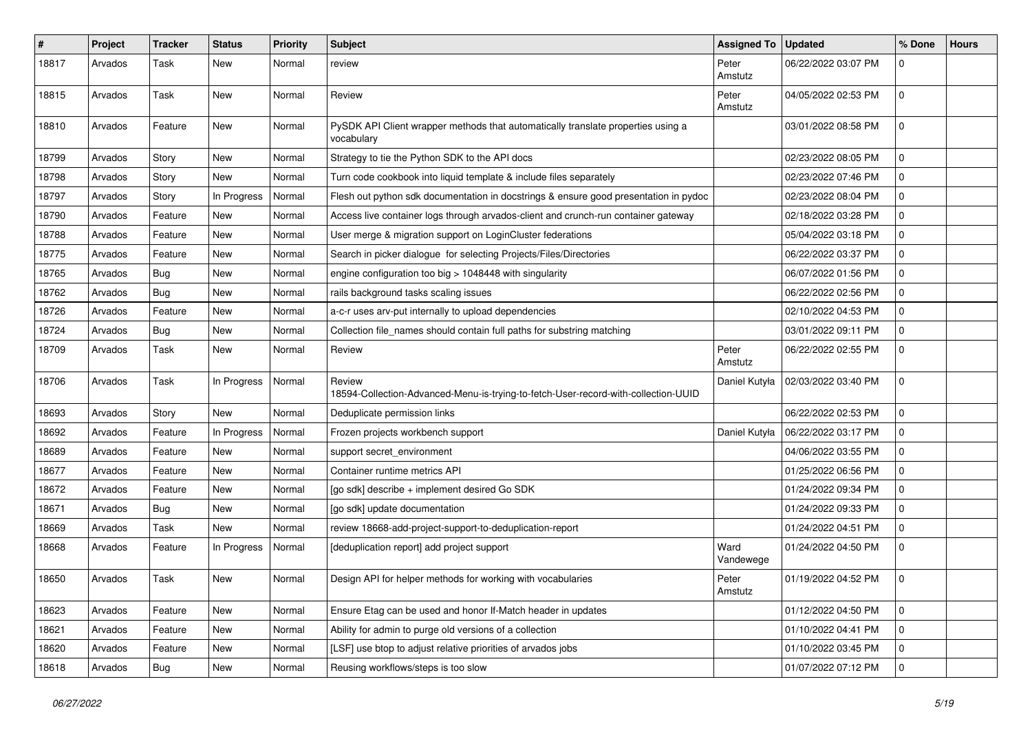| #     | Project | <b>Tracker</b> | <b>Status</b> | <b>Priority</b> | <b>Subject</b>                                                                                 | Assigned To   Updated |                     | % Done         | <b>Hours</b> |
|-------|---------|----------------|---------------|-----------------|------------------------------------------------------------------------------------------------|-----------------------|---------------------|----------------|--------------|
| 18817 | Arvados | Task           | <b>New</b>    | Normal          | review                                                                                         | Peter<br>Amstutz      | 06/22/2022 03:07 PM | $\mathbf 0$    |              |
| 18815 | Arvados | Task           | <b>New</b>    | Normal          | Review                                                                                         | Peter<br>Amstutz      | 04/05/2022 02:53 PM | $\mathbf 0$    |              |
| 18810 | Arvados | Feature        | <b>New</b>    | Normal          | PySDK API Client wrapper methods that automatically translate properties using a<br>vocabulary |                       | 03/01/2022 08:58 PM | $\mathbf 0$    |              |
| 18799 | Arvados | Story          | <b>New</b>    | Normal          | Strategy to tie the Python SDK to the API docs                                                 |                       | 02/23/2022 08:05 PM | $\overline{0}$ |              |
| 18798 | Arvados | Story          | New           | Normal          | Turn code cookbook into liquid template & include files separately                             |                       | 02/23/2022 07:46 PM | $\mathbf 0$    |              |
| 18797 | Arvados | Story          | In Progress   | Normal          | Flesh out python sdk documentation in docstrings & ensure good presentation in pydoc           |                       | 02/23/2022 08:04 PM | $\mathbf 0$    |              |
| 18790 | Arvados | Feature        | <b>New</b>    | Normal          | Access live container logs through arvados-client and crunch-run container gateway             |                       | 02/18/2022 03:28 PM | $\mathbf 0$    |              |
| 18788 | Arvados | Feature        | <b>New</b>    | Normal          | User merge & migration support on LoginCluster federations                                     |                       | 05/04/2022 03:18 PM | $\mathbf 0$    |              |
| 18775 | Arvados | Feature        | New           | Normal          | Search in picker dialogue for selecting Projects/Files/Directories                             |                       | 06/22/2022 03:37 PM | $\mathbf 0$    |              |
| 18765 | Arvados | Bug            | <b>New</b>    | Normal          | engine configuration too big > 1048448 with singularity                                        |                       | 06/07/2022 01:56 PM | $\mathbf 0$    |              |
| 18762 | Arvados | Bug            | <b>New</b>    | Normal          | rails background tasks scaling issues                                                          |                       | 06/22/2022 02:56 PM | $\mathbf 0$    |              |
| 18726 | Arvados | Feature        | New           | Normal          | a-c-r uses arv-put internally to upload dependencies                                           |                       | 02/10/2022 04:53 PM | $\mathbf 0$    |              |
| 18724 | Arvados | Bug            | <b>New</b>    | Normal          | Collection file_names should contain full paths for substring matching                         |                       | 03/01/2022 09:11 PM | 0              |              |
| 18709 | Arvados | Task           | <b>New</b>    | Normal          | Review                                                                                         | Peter<br>Amstutz      | 06/22/2022 02:55 PM | $\mathbf 0$    |              |
| 18706 | Arvados | Task           | In Progress   | Normal          | Review<br>18594-Collection-Advanced-Menu-is-trying-to-fetch-User-record-with-collection-UUID   | Daniel Kutyła         | 02/03/2022 03:40 PM | $\mathbf 0$    |              |
| 18693 | Arvados | Story          | <b>New</b>    | Normal          | Deduplicate permission links                                                                   |                       | 06/22/2022 02:53 PM | $\mathbf 0$    |              |
| 18692 | Arvados | Feature        | In Progress   | Normal          | Frozen projects workbench support                                                              | Daniel Kutyła         | 06/22/2022 03:17 PM | $\mathbf 0$    |              |
| 18689 | Arvados | Feature        | <b>New</b>    | Normal          | support secret_environment                                                                     |                       | 04/06/2022 03:55 PM | 0              |              |
| 18677 | Arvados | Feature        | <b>New</b>    | Normal          | Container runtime metrics API                                                                  |                       | 01/25/2022 06:56 PM | 0              |              |
| 18672 | Arvados | Feature        | New           | Normal          | [go sdk] describe + implement desired Go SDK                                                   |                       | 01/24/2022 09:34 PM | $\mathbf 0$    |              |
| 18671 | Arvados | Bug            | <b>New</b>    | Normal          | [go sdk] update documentation                                                                  |                       | 01/24/2022 09:33 PM | 0              |              |
| 18669 | Arvados | Task           | New           | Normal          | review 18668-add-project-support-to-deduplication-report                                       |                       | 01/24/2022 04:51 PM | $\mathbf 0$    |              |
| 18668 | Arvados | Feature        | In Progress   | Normal          | [deduplication report] add project support                                                     | Ward<br>Vandewege     | 01/24/2022 04:50 PM | $\mathbf 0$    |              |
| 18650 | Arvados | Task           | <b>New</b>    | Normal          | Design API for helper methods for working with vocabularies                                    | Peter<br>Amstutz      | 01/19/2022 04:52 PM | l 0            |              |
| 18623 | Arvados | Feature        | New           | Normal          | Ensure Etag can be used and honor If-Match header in updates                                   |                       | 01/12/2022 04:50 PM | 0              |              |
| 18621 | Arvados | Feature        | New           | Normal          | Ability for admin to purge old versions of a collection                                        |                       | 01/10/2022 04:41 PM | 0              |              |
| 18620 | Arvados | Feature        | <b>New</b>    | Normal          | [LSF] use btop to adjust relative priorities of arvados jobs                                   |                       | 01/10/2022 03:45 PM | 0              |              |
| 18618 | Arvados | Bug            | New           | Normal          | Reusing workflows/steps is too slow                                                            |                       | 01/07/2022 07:12 PM | 0              |              |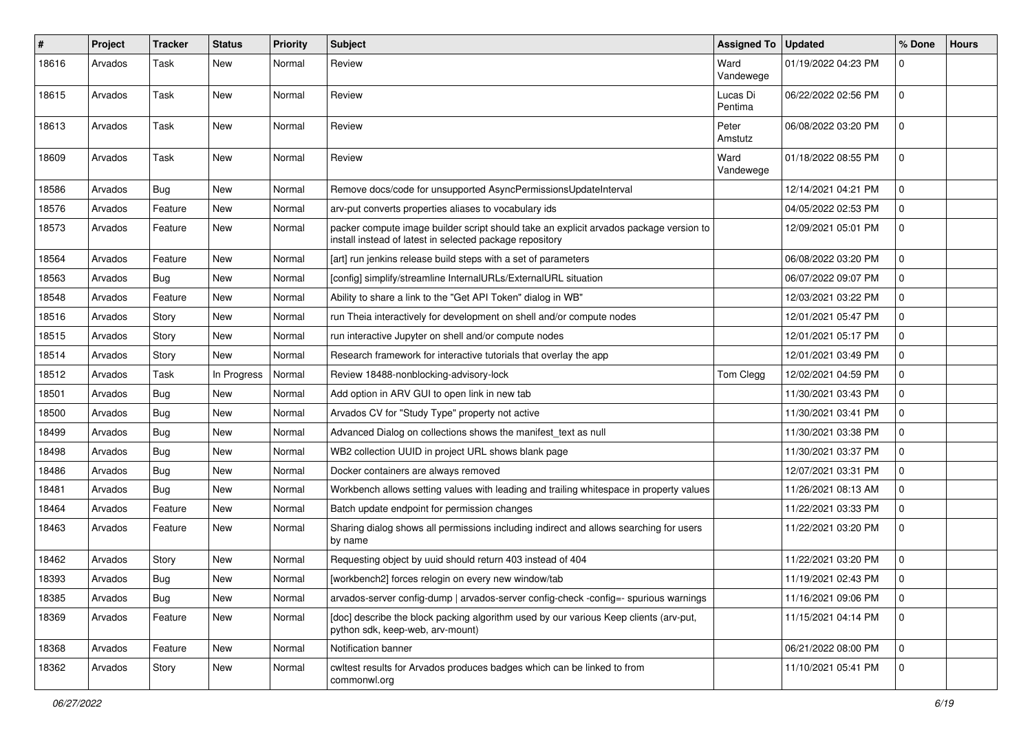| $\#$  | Project | <b>Tracker</b> | <b>Status</b> | <b>Priority</b> | Subject                                                                                                                                            | Assigned To   Updated |                     | % Done         | <b>Hours</b> |
|-------|---------|----------------|---------------|-----------------|----------------------------------------------------------------------------------------------------------------------------------------------------|-----------------------|---------------------|----------------|--------------|
| 18616 | Arvados | Task           | New           | Normal          | Review                                                                                                                                             | Ward<br>Vandewege     | 01/19/2022 04:23 PM | 0              |              |
| 18615 | Arvados | Task           | New           | Normal          | Review                                                                                                                                             | Lucas Di<br>Pentima   | 06/22/2022 02:56 PM | $\mathbf 0$    |              |
| 18613 | Arvados | Task           | <b>New</b>    | Normal          | Review                                                                                                                                             | Peter<br>Amstutz      | 06/08/2022 03:20 PM | 0              |              |
| 18609 | Arvados | Task           | <b>New</b>    | Normal          | Review                                                                                                                                             | Ward<br>Vandewege     | 01/18/2022 08:55 PM | 0              |              |
| 18586 | Arvados | Bug            | <b>New</b>    | Normal          | Remove docs/code for unsupported AsyncPermissionsUpdateInterval                                                                                    |                       | 12/14/2021 04:21 PM | $\Omega$       |              |
| 18576 | Arvados | Feature        | <b>New</b>    | Normal          | arv-put converts properties aliases to vocabulary ids                                                                                              |                       | 04/05/2022 02:53 PM | $\mathbf 0$    |              |
| 18573 | Arvados | Feature        | New           | Normal          | packer compute image builder script should take an explicit arvados package version to<br>install instead of latest in selected package repository |                       | 12/09/2021 05:01 PM | 0              |              |
| 18564 | Arvados | Feature        | <b>New</b>    | Normal          | [art] run jenkins release build steps with a set of parameters                                                                                     |                       | 06/08/2022 03:20 PM | 0              |              |
| 18563 | Arvados | <b>Bug</b>     | New           | Normal          | [config] simplify/streamline InternalURLs/ExternalURL situation                                                                                    |                       | 06/07/2022 09:07 PM | $\mathbf 0$    |              |
| 18548 | Arvados | Feature        | New           | Normal          | Ability to share a link to the "Get API Token" dialog in WB"                                                                                       |                       | 12/03/2021 03:22 PM | $\mathbf 0$    |              |
| 18516 | Arvados | Story          | New           | Normal          | run Theia interactively for development on shell and/or compute nodes                                                                              |                       | 12/01/2021 05:47 PM | 0              |              |
| 18515 | Arvados | Story          | New           | Normal          | run interactive Jupyter on shell and/or compute nodes                                                                                              |                       | 12/01/2021 05:17 PM | $\Omega$       |              |
| 18514 | Arvados | Story          | New           | Normal          | Research framework for interactive tutorials that overlay the app                                                                                  |                       | 12/01/2021 03:49 PM | 0              |              |
| 18512 | Arvados | Task           | In Progress   | Normal          | Review 18488-nonblocking-advisory-lock                                                                                                             | Tom Clegg             | 12/02/2021 04:59 PM | $\mathbf 0$    |              |
| 18501 | Arvados | <b>Bug</b>     | New           | Normal          | Add option in ARV GUI to open link in new tab                                                                                                      |                       | 11/30/2021 03:43 PM | $\Omega$       |              |
| 18500 | Arvados | <b>Bug</b>     | New           | Normal          | Arvados CV for "Study Type" property not active                                                                                                    |                       | 11/30/2021 03:41 PM | $\mathbf 0$    |              |
| 18499 | Arvados | <b>Bug</b>     | New           | Normal          | Advanced Dialog on collections shows the manifest_text as null                                                                                     |                       | 11/30/2021 03:38 PM | $\mathbf 0$    |              |
| 18498 | Arvados | <b>Bug</b>     | New           | Normal          | WB2 collection UUID in project URL shows blank page                                                                                                |                       | 11/30/2021 03:37 PM | $\mathbf 0$    |              |
| 18486 | Arvados | <b>Bug</b>     | New           | Normal          | Docker containers are always removed                                                                                                               |                       | 12/07/2021 03:31 PM | 0              |              |
| 18481 | Arvados | <b>Bug</b>     | New           | Normal          | Workbench allows setting values with leading and trailing whitespace in property values                                                            |                       | 11/26/2021 08:13 AM | $\overline{0}$ |              |
| 18464 | Arvados | Feature        | New           | Normal          | Batch update endpoint for permission changes                                                                                                       |                       | 11/22/2021 03:33 PM | $\mathbf 0$    |              |
| 18463 | Arvados | Feature        | New           | Normal          | Sharing dialog shows all permissions including indirect and allows searching for users<br>by name                                                  |                       | 11/22/2021 03:20 PM | $\Omega$       |              |
| 18462 | Arvados | Story          | <b>New</b>    | Normal          | Requesting object by uuid should return 403 instead of 404                                                                                         |                       | 11/22/2021 03:20 PM | $\mathbf 0$    |              |
| 18393 | Arvados | Bug            | New           | Normal          | [workbench2] forces relogin on every new window/tab                                                                                                |                       | 11/19/2021 02:43 PM | 0              |              |
| 18385 | Arvados | Bug            | New           | Normal          | arvados-server config-dump   arvados-server config-check -config=- spurious warnings                                                               |                       | 11/16/2021 09:06 PM | 0              |              |
| 18369 | Arvados | Feature        | New           | Normal          | [doc] describe the block packing algorithm used by our various Keep clients (arv-put,<br>python sdk, keep-web, arv-mount)                          |                       | 11/15/2021 04:14 PM | 0              |              |
| 18368 | Arvados | Feature        | New           | Normal          | Notification banner                                                                                                                                |                       | 06/21/2022 08:00 PM | 0              |              |
| 18362 | Arvados | Story          | New           | Normal          | cwltest results for Arvados produces badges which can be linked to from<br>commonwl.org                                                            |                       | 11/10/2021 05:41 PM | $\mathbf 0$    |              |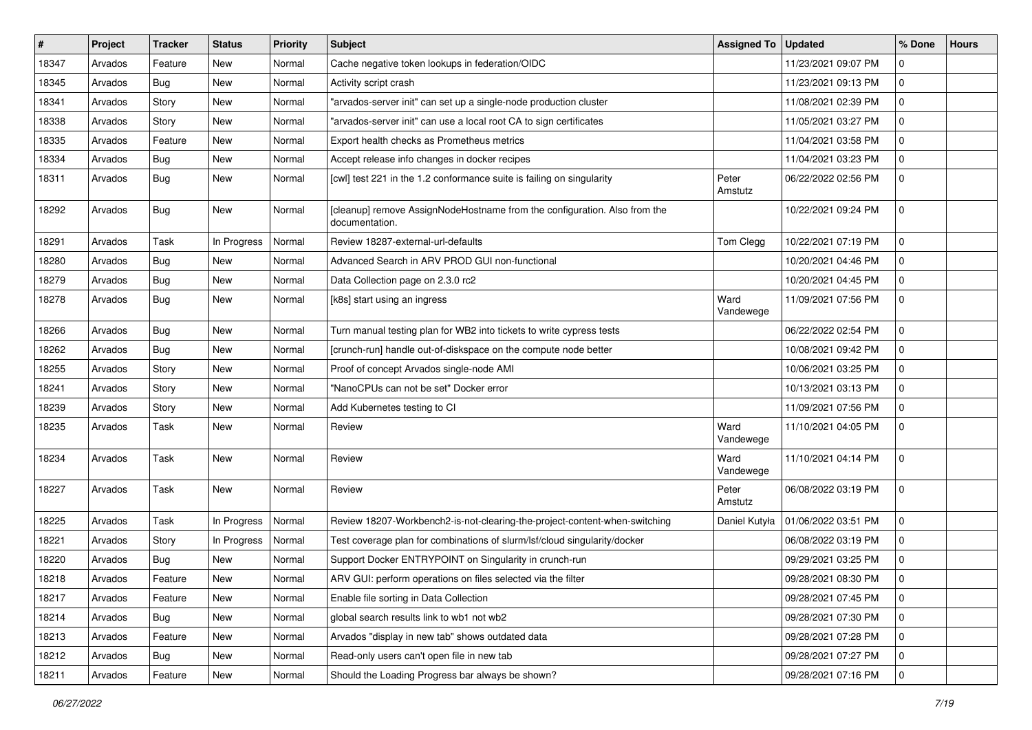| $\#$  | Project | <b>Tracker</b> | <b>Status</b> | <b>Priority</b> | Subject                                                                                     | Assigned To   Updated |                     | % Done         | <b>Hours</b> |
|-------|---------|----------------|---------------|-----------------|---------------------------------------------------------------------------------------------|-----------------------|---------------------|----------------|--------------|
| 18347 | Arvados | Feature        | New           | Normal          | Cache negative token lookups in federation/OIDC                                             |                       | 11/23/2021 09:07 PM | $\mathbf 0$    |              |
| 18345 | Arvados | Bug            | <b>New</b>    | Normal          | Activity script crash                                                                       |                       | 11/23/2021 09:13 PM | $\Omega$       |              |
| 18341 | Arvados | Story          | New           | Normal          | 'arvados-server init" can set up a single-node production cluster                           |                       | 11/08/2021 02:39 PM | 0              |              |
| 18338 | Arvados | Story          | New           | Normal          | "arvados-server init" can use a local root CA to sign certificates                          |                       | 11/05/2021 03:27 PM | $\mathbf 0$    |              |
| 18335 | Arvados | Feature        | <b>New</b>    | Normal          | Export health checks as Prometheus metrics                                                  |                       | 11/04/2021 03:58 PM | $\mathbf 0$    |              |
| 18334 | Arvados | <b>Bug</b>     | New           | Normal          | Accept release info changes in docker recipes                                               |                       | 11/04/2021 03:23 PM | $\mathbf 0$    |              |
| 18311 | Arvados | <b>Bug</b>     | New           | Normal          | [cwl] test 221 in the 1.2 conformance suite is failing on singularity                       | Peter<br>Amstutz      | 06/22/2022 02:56 PM | $\mathbf 0$    |              |
| 18292 | Arvados | Bug            | New           | Normal          | [cleanup] remove AssignNodeHostname from the configuration. Also from the<br>documentation. |                       | 10/22/2021 09:24 PM | $\mathbf 0$    |              |
| 18291 | Arvados | Task           | In Progress   | Normal          | Review 18287-external-url-defaults                                                          | Tom Clegg             | 10/22/2021 07:19 PM | 0              |              |
| 18280 | Arvados | <b>Bug</b>     | New           | Normal          | Advanced Search in ARV PROD GUI non-functional                                              |                       | 10/20/2021 04:46 PM | $\mathbf 0$    |              |
| 18279 | Arvados | <b>Bug</b>     | <b>New</b>    | Normal          | Data Collection page on 2.3.0 rc2                                                           |                       | 10/20/2021 04:45 PM | $\mathbf 0$    |              |
| 18278 | Arvados | <b>Bug</b>     | New           | Normal          | [k8s] start using an ingress                                                                | Ward<br>Vandewege     | 11/09/2021 07:56 PM | $\mathbf 0$    |              |
| 18266 | Arvados | <b>Bug</b>     | New           | Normal          | Turn manual testing plan for WB2 into tickets to write cypress tests                        |                       | 06/22/2022 02:54 PM | 0              |              |
| 18262 | Arvados | <b>Bug</b>     | New           | Normal          | [crunch-run] handle out-of-diskspace on the compute node better                             |                       | 10/08/2021 09:42 PM | $\Omega$       |              |
| 18255 | Arvados | Story          | New           | Normal          | Proof of concept Arvados single-node AMI                                                    |                       | 10/06/2021 03:25 PM | $\mathbf 0$    |              |
| 18241 | Arvados | Story          | New           | Normal          | "NanoCPUs can not be set" Docker error                                                      |                       | 10/13/2021 03:13 PM | $\overline{0}$ |              |
| 18239 | Arvados | Story          | New           | Normal          | Add Kubernetes testing to CI                                                                |                       | 11/09/2021 07:56 PM | $\mathbf 0$    |              |
| 18235 | Arvados | Task           | <b>New</b>    | Normal          | Review                                                                                      | Ward<br>Vandewege     | 11/10/2021 04:05 PM | $\mathbf 0$    |              |
| 18234 | Arvados | Task           | New           | Normal          | Review                                                                                      | Ward<br>Vandewege     | 11/10/2021 04:14 PM | 0              |              |
| 18227 | Arvados | Task           | <b>New</b>    | Normal          | Review                                                                                      | Peter<br>Amstutz      | 06/08/2022 03:19 PM | $\mathbf 0$    |              |
| 18225 | Arvados | Task           | In Progress   | Normal          | Review 18207-Workbench2-is-not-clearing-the-project-content-when-switching                  | Daniel Kutyła         | 01/06/2022 03:51 PM | 0              |              |
| 18221 | Arvados | Story          | In Progress   | Normal          | Test coverage plan for combinations of slurm/lsf/cloud singularity/docker                   |                       | 06/08/2022 03:19 PM | $\mathbf 0$    |              |
| 18220 | Arvados | <b>Bug</b>     | <b>New</b>    | Normal          | Support Docker ENTRYPOINT on Singularity in crunch-run                                      |                       | 09/29/2021 03:25 PM | $\mathbf 0$    |              |
| 18218 | Arvados | Feature        | New           | Normal          | ARV GUI: perform operations on files selected via the filter                                |                       | 09/28/2021 08:30 PM | $\overline{0}$ |              |
| 18217 | Arvados | Feature        | New           | Normal          | Enable file sorting in Data Collection                                                      |                       | 09/28/2021 07:45 PM | 0              |              |
| 18214 | Arvados | <b>Bug</b>     | New           | Normal          | global search results link to wb1 not wb2                                                   |                       | 09/28/2021 07:30 PM | 0              |              |
| 18213 | Arvados | Feature        | New           | Normal          | Arvados "display in new tab" shows outdated data                                            |                       | 09/28/2021 07:28 PM | $\mathbf 0$    |              |
| 18212 | Arvados | Bug            | New           | Normal          | Read-only users can't open file in new tab                                                  |                       | 09/28/2021 07:27 PM | 0              |              |
| 18211 | Arvados | Feature        | New           | Normal          | Should the Loading Progress bar always be shown?                                            |                       | 09/28/2021 07:16 PM | 0              |              |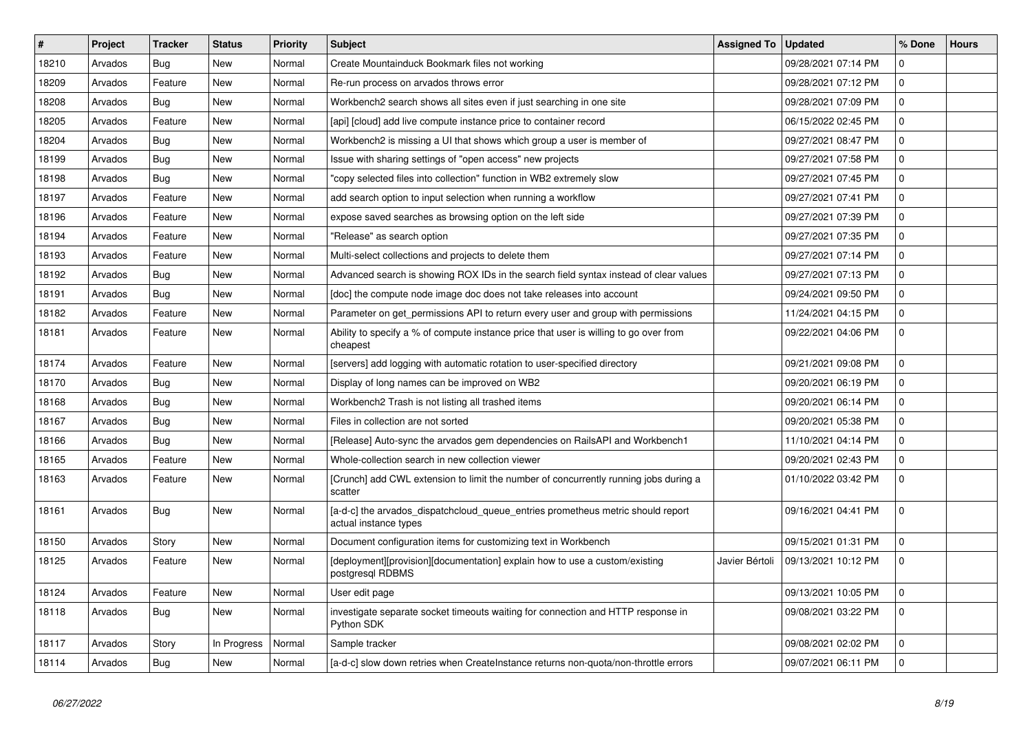| $\sharp$ | Project | <b>Tracker</b> | <b>Status</b> | <b>Priority</b> | <b>Subject</b>                                                                                           | <b>Assigned To</b> | <b>Updated</b>      | % Done      | <b>Hours</b> |
|----------|---------|----------------|---------------|-----------------|----------------------------------------------------------------------------------------------------------|--------------------|---------------------|-------------|--------------|
| 18210    | Arvados | Bug            | <b>New</b>    | Normal          | Create Mountainduck Bookmark files not working                                                           |                    | 09/28/2021 07:14 PM | $\mathbf 0$ |              |
| 18209    | Arvados | Feature        | <b>New</b>    | Normal          | Re-run process on arvados throws error                                                                   |                    | 09/28/2021 07:12 PM | $\Omega$    |              |
| 18208    | Arvados | Bug            | <b>New</b>    | Normal          | Workbench2 search shows all sites even if just searching in one site                                     |                    | 09/28/2021 07:09 PM | $\mathbf 0$ |              |
| 18205    | Arvados | Feature        | <b>New</b>    | Normal          | [api] [cloud] add live compute instance price to container record                                        |                    | 06/15/2022 02:45 PM | $\mathbf 0$ |              |
| 18204    | Arvados | Bug            | <b>New</b>    | Normal          | Workbench2 is missing a UI that shows which group a user is member of                                    |                    | 09/27/2021 08:47 PM | $\mathbf 0$ |              |
| 18199    | Arvados | Bug            | <b>New</b>    | Normal          | Issue with sharing settings of "open access" new projects                                                |                    | 09/27/2021 07:58 PM | $\Omega$    |              |
| 18198    | Arvados | Bug            | <b>New</b>    | Normal          | copy selected files into collection" function in WB2 extremely slow                                      |                    | 09/27/2021 07:45 PM | $\mathbf 0$ |              |
| 18197    | Arvados | Feature        | <b>New</b>    | Normal          | add search option to input selection when running a workflow                                             |                    | 09/27/2021 07:41 PM | $\mathbf 0$ |              |
| 18196    | Arvados | Feature        | <b>New</b>    | Normal          | expose saved searches as browsing option on the left side                                                |                    | 09/27/2021 07:39 PM | $\Omega$    |              |
| 18194    | Arvados | Feature        | <b>New</b>    | Normal          | "Release" as search option                                                                               |                    | 09/27/2021 07:35 PM | $\mathbf 0$ |              |
| 18193    | Arvados | Feature        | <b>New</b>    | Normal          | Multi-select collections and projects to delete them                                                     |                    | 09/27/2021 07:14 PM | $\mathbf 0$ |              |
| 18192    | Arvados | Bug            | New           | Normal          | Advanced search is showing ROX IDs in the search field syntax instead of clear values                    |                    | 09/27/2021 07:13 PM | $\mathbf 0$ |              |
| 18191    | Arvados | <b>Bug</b>     | <b>New</b>    | Normal          | [doc] the compute node image doc does not take releases into account                                     |                    | 09/24/2021 09:50 PM | $\mathbf 0$ |              |
| 18182    | Arvados | Feature        | <b>New</b>    | Normal          | Parameter on get permissions API to return every user and group with permissions                         |                    | 11/24/2021 04:15 PM | $\mathbf 0$ |              |
| 18181    | Arvados | Feature        | <b>New</b>    | Normal          | Ability to specify a % of compute instance price that user is willing to go over from<br>cheapest        |                    | 09/22/2021 04:06 PM | $\mathbf 0$ |              |
| 18174    | Arvados | Feature        | <b>New</b>    | Normal          | [servers] add logging with automatic rotation to user-specified directory                                |                    | 09/21/2021 09:08 PM | $\mathbf 0$ |              |
| 18170    | Arvados | Bug            | <b>New</b>    | Normal          | Display of long names can be improved on WB2                                                             |                    | 09/20/2021 06:19 PM | $\mathbf 0$ |              |
| 18168    | Arvados | Bug            | <b>New</b>    | Normal          | Workbench2 Trash is not listing all trashed items                                                        |                    | 09/20/2021 06:14 PM | $\Omega$    |              |
| 18167    | Arvados | Bug            | <b>New</b>    | Normal          | Files in collection are not sorted                                                                       |                    | 09/20/2021 05:38 PM | $\Omega$    |              |
| 18166    | Arvados | <b>Bug</b>     | <b>New</b>    | Normal          | [Release] Auto-sync the arvados gem dependencies on RailsAPI and Workbench1                              |                    | 11/10/2021 04:14 PM | $\mathbf 0$ |              |
| 18165    | Arvados | Feature        | <b>New</b>    | Normal          | Whole-collection search in new collection viewer                                                         |                    | 09/20/2021 02:43 PM | $\mathbf 0$ |              |
| 18163    | Arvados | Feature        | <b>New</b>    | Normal          | [Crunch] add CWL extension to limit the number of concurrently running jobs during a<br>scatter          |                    | 01/10/2022 03:42 PM | $\Omega$    |              |
| 18161    | Arvados | Bug            | New           | Normal          | [a-d-c] the arvados dispatchcloud queue entries prometheus metric should report<br>actual instance types |                    | 09/16/2021 04:41 PM | $\mathbf 0$ |              |
| 18150    | Arvados | Story          | New           | Normal          | Document configuration items for customizing text in Workbench                                           |                    | 09/15/2021 01:31 PM | $\mathbf 0$ |              |
| 18125    | Arvados | Feature        | New           | Normal          | [deployment][provision][documentation] explain how to use a custom/existing<br>postgresql RDBMS          | Javier Bértoli     | 09/13/2021 10:12 PM | $\mathbf 0$ |              |
| 18124    | Arvados | Feature        | <b>New</b>    | Normal          | User edit page                                                                                           |                    | 09/13/2021 10:05 PM | $\mathbf 0$ |              |
| 18118    | Arvados | Bug            | <b>New</b>    | Normal          | investigate separate socket timeouts waiting for connection and HTTP response in<br>Python SDK           |                    | 09/08/2021 03:22 PM | $\mathbf 0$ |              |
| 18117    | Arvados | Story          | In Progress   | Normal          | Sample tracker                                                                                           |                    | 09/08/2021 02:02 PM | $\mathbf 0$ |              |
| 18114    | Arvados | Bug            | <b>New</b>    | Normal          | [a-d-c] slow down retries when Createlnstance returns non-quota/non-throttle errors                      |                    | 09/07/2021 06:11 PM | $\mathbf 0$ |              |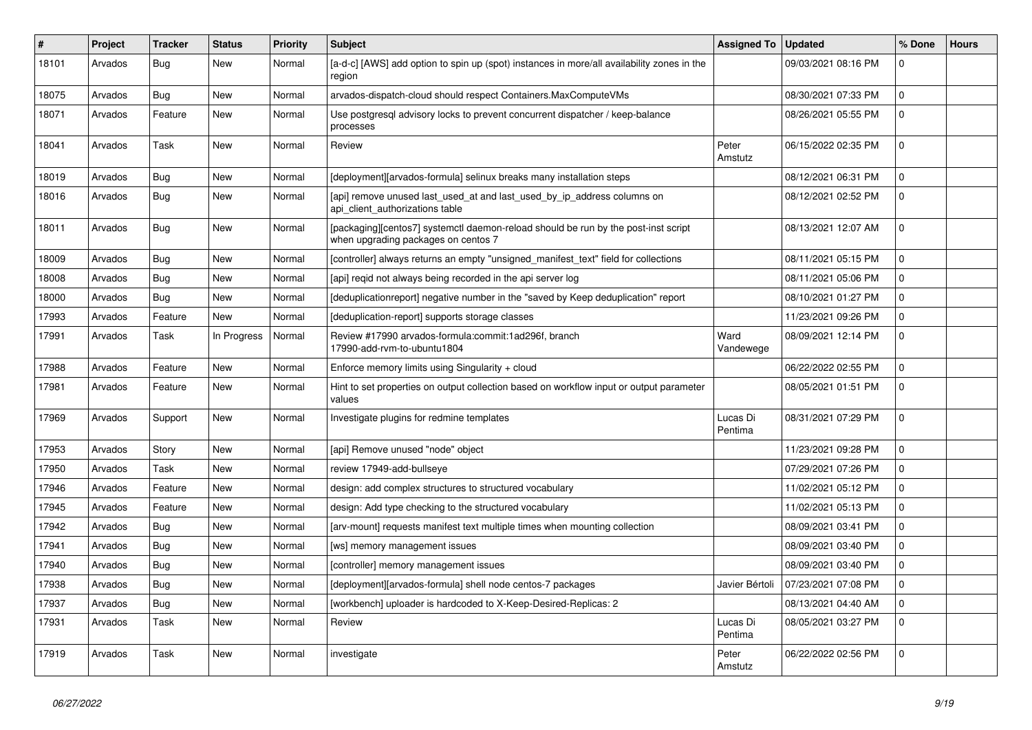| #     | Project | <b>Tracker</b> | <b>Status</b> | <b>Priority</b> | <b>Subject</b>                                                                                                            | <b>Assigned To</b>  | <b>Updated</b>      | % Done      | <b>Hours</b> |
|-------|---------|----------------|---------------|-----------------|---------------------------------------------------------------------------------------------------------------------------|---------------------|---------------------|-------------|--------------|
| 18101 | Arvados | Bug            | <b>New</b>    | Normal          | [a-d-c] [AWS] add option to spin up (spot) instances in more/all availability zones in the<br>region                      |                     | 09/03/2021 08:16 PM | $\Omega$    |              |
| 18075 | Arvados | Bug            | <b>New</b>    | Normal          | arvados-dispatch-cloud should respect Containers.MaxComputeVMs                                                            |                     | 08/30/2021 07:33 PM | $\mathbf 0$ |              |
| 18071 | Arvados | Feature        | <b>New</b>    | Normal          | Use postgresql advisory locks to prevent concurrent dispatcher / keep-balance<br>processes                                |                     | 08/26/2021 05:55 PM | $\Omega$    |              |
| 18041 | Arvados | Task           | New           | Normal          | Review                                                                                                                    | Peter<br>Amstutz    | 06/15/2022 02:35 PM | $\Omega$    |              |
| 18019 | Arvados | Bug            | <b>New</b>    | Normal          | [deployment][arvados-formula] selinux breaks many installation steps                                                      |                     | 08/12/2021 06:31 PM | $\Omega$    |              |
| 18016 | Arvados | <b>Bug</b>     | <b>New</b>    | Normal          | [api] remove unused last_used_at and last_used_by_ip_address columns on<br>api client authorizations table                |                     | 08/12/2021 02:52 PM | $\Omega$    |              |
| 18011 | Arvados | Bug            | New           | Normal          | [packaging][centos7] systemctl daemon-reload should be run by the post-inst script<br>when upgrading packages on centos 7 |                     | 08/13/2021 12:07 AM | $\mathbf 0$ |              |
| 18009 | Arvados | <b>Bug</b>     | <b>New</b>    | Normal          | [controller] always returns an empty "unsigned manifest text" field for collections                                       |                     | 08/11/2021 05:15 PM | $\mathbf 0$ |              |
| 18008 | Arvados | Bug            | New           | Normal          | [api] reqid not always being recorded in the api server log                                                               |                     | 08/11/2021 05:06 PM | $\mathbf 0$ |              |
| 18000 | Arvados | Bug            | New           | Normal          | [deduplicationreport] negative number in the "saved by Keep deduplication" report                                         |                     | 08/10/2021 01:27 PM | $\mathbf 0$ |              |
| 17993 | Arvados | Feature        | New           | Normal          | [deduplication-report] supports storage classes                                                                           |                     | 11/23/2021 09:26 PM | $\mathbf 0$ |              |
| 17991 | Arvados | Task           | In Progress   | Normal          | Review #17990 arvados-formula:commit:1ad296f, branch<br>17990-add-rvm-to-ubuntu1804                                       | Ward<br>Vandewege   | 08/09/2021 12:14 PM | $\mathbf 0$ |              |
| 17988 | Arvados | Feature        | <b>New</b>    | Normal          | Enforce memory limits using Singularity + cloud                                                                           |                     | 06/22/2022 02:55 PM | $\Omega$    |              |
| 17981 | Arvados | Feature        | <b>New</b>    | Normal          | Hint to set properties on output collection based on workflow input or output parameter<br>values                         |                     | 08/05/2021 01:51 PM | $\Omega$    |              |
| 17969 | Arvados | Support        | <b>New</b>    | Normal          | Investigate plugins for redmine templates                                                                                 | Lucas Di<br>Pentima | 08/31/2021 07:29 PM | $\Omega$    |              |
| 17953 | Arvados | Story          | <b>New</b>    | Normal          | [api] Remove unused "node" object                                                                                         |                     | 11/23/2021 09:28 PM | $\mathbf 0$ |              |
| 17950 | Arvados | Task           | <b>New</b>    | Normal          | review 17949-add-bullseye                                                                                                 |                     | 07/29/2021 07:26 PM | $\mathbf 0$ |              |
| 17946 | Arvados | Feature        | <b>New</b>    | Normal          | design: add complex structures to structured vocabulary                                                                   |                     | 11/02/2021 05:12 PM | $\mathbf 0$ |              |
| 17945 | Arvados | Feature        | <b>New</b>    | Normal          | design: Add type checking to the structured vocabulary                                                                    |                     | 11/02/2021 05:13 PM | $\mathbf 0$ |              |
| 17942 | Arvados | Bug            | New           | Normal          | [arv-mount] requests manifest text multiple times when mounting collection                                                |                     | 08/09/2021 03:41 PM | $\mathbf 0$ |              |
| 17941 | Arvados | Bug            | <b>New</b>    | Normal          | [ws] memory management issues                                                                                             |                     | 08/09/2021 03:40 PM | $\mathbf 0$ |              |
| 17940 | Arvados | Bug            | New           | Normal          | [controller] memory management issues                                                                                     |                     | 08/09/2021 03:40 PM | $\mathbf 0$ |              |
| 17938 | Arvados | Bug            | New           | Normal          | [deployment][arvados-formula] shell node centos-7 packages                                                                | Javier Bértoli      | 07/23/2021 07:08 PM | $\mathbf 0$ |              |
| 17937 | Arvados | Bug            | <b>New</b>    | Normal          | [workbench] uploader is hardcoded to X-Keep-Desired-Replicas: 2                                                           |                     | 08/13/2021 04:40 AM | $\mathbf 0$ |              |
| 17931 | Arvados | Task           | <b>New</b>    | Normal          | Review                                                                                                                    | Lucas Di<br>Pentima | 08/05/2021 03:27 PM | $\Omega$    |              |
| 17919 | Arvados | Task           | <b>New</b>    | Normal          | investigate                                                                                                               | Peter<br>Amstutz    | 06/22/2022 02:56 PM | $\Omega$    |              |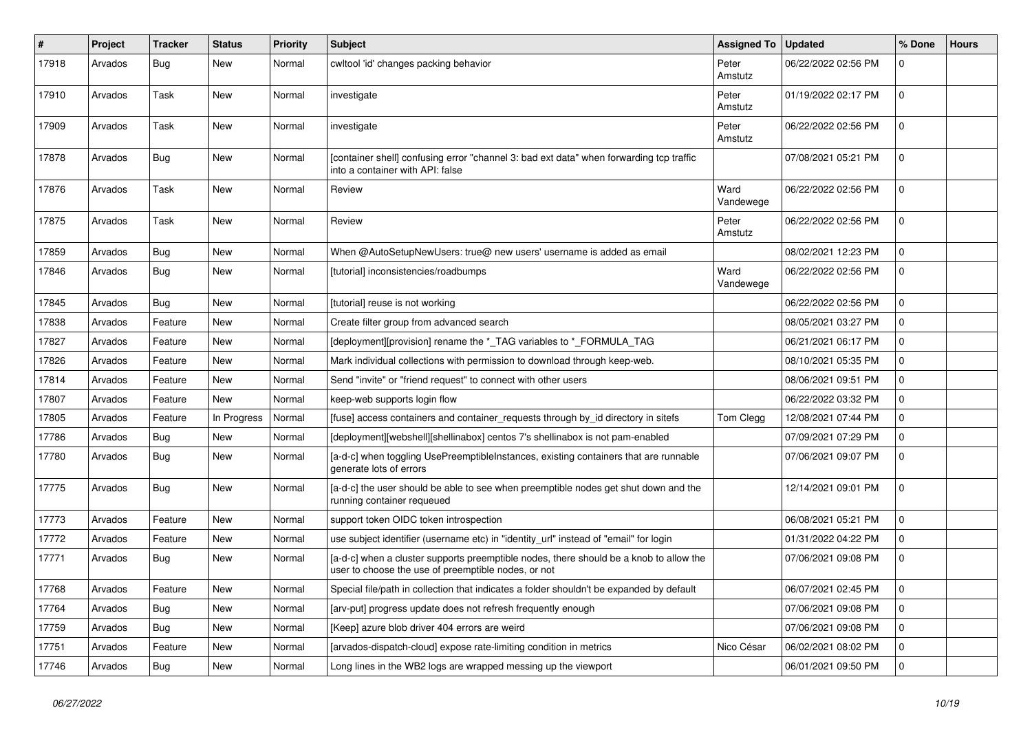| #     | Project | <b>Tracker</b> | <b>Status</b> | <b>Priority</b> | <b>Subject</b>                                                                                                                                | <b>Assigned To</b> | <b>Updated</b>      | % Done         | <b>Hours</b> |
|-------|---------|----------------|---------------|-----------------|-----------------------------------------------------------------------------------------------------------------------------------------------|--------------------|---------------------|----------------|--------------|
| 17918 | Arvados | Bug            | New           | Normal          | cwltool 'id' changes packing behavior                                                                                                         | Peter<br>Amstutz   | 06/22/2022 02:56 PM | $\mathbf 0$    |              |
| 17910 | Arvados | Task           | <b>New</b>    | Normal          | investigate                                                                                                                                   | Peter<br>Amstutz   | 01/19/2022 02:17 PM | $\Omega$       |              |
| 17909 | Arvados | Task           | <b>New</b>    | Normal          | investigate                                                                                                                                   | Peter<br>Amstutz   | 06/22/2022 02:56 PM | $\Omega$       |              |
| 17878 | Arvados | Bug            | <b>New</b>    | Normal          | [container shell] confusing error "channel 3: bad ext data" when forwarding tcp traffic<br>into a container with API: false                   |                    | 07/08/2021 05:21 PM | $\overline{0}$ |              |
| 17876 | Arvados | Task           | <b>New</b>    | Normal          | Review                                                                                                                                        | Ward<br>Vandewege  | 06/22/2022 02:56 PM | $\Omega$       |              |
| 17875 | Arvados | Task           | <b>New</b>    | Normal          | Review                                                                                                                                        | Peter<br>Amstutz   | 06/22/2022 02:56 PM | 0              |              |
| 17859 | Arvados | Bug            | <b>New</b>    | Normal          | When @AutoSetupNewUsers: true@ new users' username is added as email                                                                          |                    | 08/02/2021 12:23 PM | $\Omega$       |              |
| 17846 | Arvados | <b>Bug</b>     | <b>New</b>    | Normal          | [tutorial] inconsistencies/roadbumps                                                                                                          | Ward<br>Vandewege  | 06/22/2022 02:56 PM | $\Omega$       |              |
| 17845 | Arvados | Bug            | <b>New</b>    | Normal          | [tutorial] reuse is not working                                                                                                               |                    | 06/22/2022 02:56 PM | $\overline{0}$ |              |
| 17838 | Arvados | Feature        | <b>New</b>    | Normal          | Create filter group from advanced search                                                                                                      |                    | 08/05/2021 03:27 PM | $\mathbf 0$    |              |
| 17827 | Arvados | Feature        | <b>New</b>    | Normal          | [deployment][provision] rename the *_TAG variables to *_FORMULA_TAG                                                                           |                    | 06/21/2021 06:17 PM | $\mathbf 0$    |              |
| 17826 | Arvados | Feature        | <b>New</b>    | Normal          | Mark individual collections with permission to download through keep-web.                                                                     |                    | 08/10/2021 05:35 PM | $\Omega$       |              |
| 17814 | Arvados | Feature        | <b>New</b>    | Normal          | Send "invite" or "friend request" to connect with other users                                                                                 |                    | 08/06/2021 09:51 PM | $\Omega$       |              |
| 17807 | Arvados | Feature        | <b>New</b>    | Normal          | keep-web supports login flow                                                                                                                  |                    | 06/22/2022 03:32 PM | $\Omega$       |              |
| 17805 | Arvados | Feature        | In Progress   | Normal          | [fuse] access containers and container requests through by id directory in sitefs                                                             | Tom Clegg          | 12/08/2021 07:44 PM | $\Omega$       |              |
| 17786 | Arvados | Bug            | <b>New</b>    | Normal          | [deployment][webshell][shellinabox] centos 7's shellinabox is not pam-enabled                                                                 |                    | 07/09/2021 07:29 PM | $\Omega$       |              |
| 17780 | Arvados | Bug            | <b>New</b>    | Normal          | [a-d-c] when toggling UsePreemptibleInstances, existing containers that are runnable<br>generate lots of errors                               |                    | 07/06/2021 09:07 PM | $\mathbf 0$    |              |
| 17775 | Arvados | Bug            | <b>New</b>    | Normal          | [a-d-c] the user should be able to see when preemptible nodes get shut down and the<br>running container requeued                             |                    | 12/14/2021 09:01 PM | $\Omega$       |              |
| 17773 | Arvados | Feature        | <b>New</b>    | Normal          | support token OIDC token introspection                                                                                                        |                    | 06/08/2021 05:21 PM | $\mathbf{0}$   |              |
| 17772 | Arvados | Feature        | New           | Normal          | use subject identifier (username etc) in "identity_url" instead of "email" for login                                                          |                    | 01/31/2022 04:22 PM | $\mathbf 0$    |              |
| 17771 | Arvados | Bug            | <b>New</b>    | Normal          | [a-d-c] when a cluster supports preemptible nodes, there should be a knob to allow the<br>user to choose the use of preemptible nodes, or not |                    | 07/06/2021 09:08 PM | $\Omega$       |              |
| 17768 | Arvados | Feature        | <b>New</b>    | Normal          | Special file/path in collection that indicates a folder shouldn't be expanded by default                                                      |                    | 06/07/2021 02:45 PM | $\overline{0}$ |              |
| 17764 | Arvados | Bug            | <b>New</b>    | Normal          | [arv-put] progress update does not refresh frequently enough                                                                                  |                    | 07/06/2021 09:08 PM | $\Omega$       |              |
| 17759 | Arvados | Bug            | <b>New</b>    | Normal          | [Keep] azure blob driver 404 errors are weird                                                                                                 |                    | 07/06/2021 09:08 PM | $\Omega$       |              |
| 17751 | Arvados | Feature        | <b>New</b>    | Normal          | [arvados-dispatch-cloud] expose rate-limiting condition in metrics                                                                            | Nico César         | 06/02/2021 08:02 PM | $\mathbf 0$    |              |
| 17746 | Arvados | <b>Bug</b>     | <b>New</b>    | Normal          | Long lines in the WB2 logs are wrapped messing up the viewport                                                                                |                    | 06/01/2021 09:50 PM | $\mathbf 0$    |              |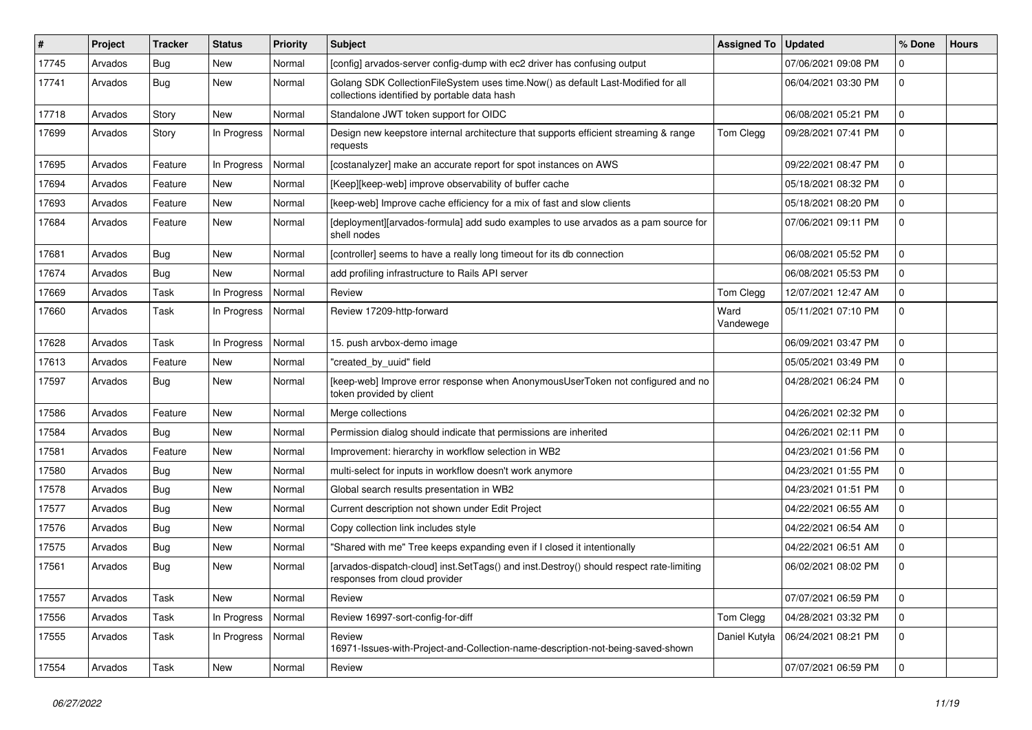| ∦     | Project | <b>Tracker</b> | <b>Status</b> | <b>Priority</b> | <b>Subject</b>                                                                                                                   | <b>Assigned To</b> | <b>Updated</b>      | % Done         | <b>Hours</b> |
|-------|---------|----------------|---------------|-----------------|----------------------------------------------------------------------------------------------------------------------------------|--------------------|---------------------|----------------|--------------|
| 17745 | Arvados | Bug            | <b>New</b>    | Normal          | [config] arvados-server config-dump with ec2 driver has confusing output                                                         |                    | 07/06/2021 09:08 PM | $\Omega$       |              |
| 17741 | Arvados | Bug            | <b>New</b>    | Normal          | Golang SDK CollectionFileSystem uses time.Now() as default Last-Modified for all<br>collections identified by portable data hash |                    | 06/04/2021 03:30 PM | $\mathbf 0$    |              |
| 17718 | Arvados | Story          | <b>New</b>    | Normal          | Standalone JWT token support for OIDC                                                                                            |                    | 06/08/2021 05:21 PM | $\Omega$       |              |
| 17699 | Arvados | Story          | In Progress   | Normal          | Design new keepstore internal architecture that supports efficient streaming & range<br>requests                                 | Tom Clegg          | 09/28/2021 07:41 PM | $\mathbf 0$    |              |
| 17695 | Arvados | Feature        | In Progress   | Normal          | [costanalyzer] make an accurate report for spot instances on AWS                                                                 |                    | 09/22/2021 08:47 PM | 0              |              |
| 17694 | Arvados | Feature        | <b>New</b>    | Normal          | [Keep][keep-web] improve observability of buffer cache                                                                           |                    | 05/18/2021 08:32 PM | $\mathbf 0$    |              |
| 17693 | Arvados | Feature        | <b>New</b>    | Normal          | [keep-web] Improve cache efficiency for a mix of fast and slow clients                                                           |                    | 05/18/2021 08:20 PM | $\Omega$       |              |
| 17684 | Arvados | Feature        | <b>New</b>    | Normal          | [deployment][arvados-formula] add sudo examples to use arvados as a pam source for<br>shell nodes                                |                    | 07/06/2021 09:11 PM | $\mathbf 0$    |              |
| 17681 | Arvados | Bug            | <b>New</b>    | Normal          | [controller] seems to have a really long timeout for its db connection                                                           |                    | 06/08/2021 05:52 PM | $\Omega$       |              |
| 17674 | Arvados | Bug            | <b>New</b>    | Normal          | add profiling infrastructure to Rails API server                                                                                 |                    | 06/08/2021 05:53 PM | $\Omega$       |              |
| 17669 | Arvados | Task           | In Progress   | Normal          | Review                                                                                                                           | Tom Clegg          | 12/07/2021 12:47 AM | $\Omega$       |              |
| 17660 | Arvados | Task           | In Progress   | Normal          | Review 17209-http-forward                                                                                                        | Ward<br>Vandewege  | 05/11/2021 07:10 PM | $\Omega$       |              |
| 17628 | Arvados | Task           | In Progress   | Normal          | 15. push arvbox-demo image                                                                                                       |                    | 06/09/2021 03:47 PM | $\Omega$       |              |
| 17613 | Arvados | Feature        | <b>New</b>    | Normal          | "created_by_uuid" field                                                                                                          |                    | 05/05/2021 03:49 PM | $\Omega$       |              |
| 17597 | Arvados | Bug            | New           | Normal          | [keep-web] Improve error response when AnonymousUserToken not configured and no<br>token provided by client                      |                    | 04/28/2021 06:24 PM | $\mathbf 0$    |              |
| 17586 | Arvados | Feature        | <b>New</b>    | Normal          | Merge collections                                                                                                                |                    | 04/26/2021 02:32 PM | $\mathbf 0$    |              |
| 17584 | Arvados | Bug            | <b>New</b>    | Normal          | Permission dialog should indicate that permissions are inherited                                                                 |                    | 04/26/2021 02:11 PM | $\mathbf 0$    |              |
| 17581 | Arvados | Feature        | <b>New</b>    | Normal          | Improvement: hierarchy in workflow selection in WB2                                                                              |                    | 04/23/2021 01:56 PM | $\Omega$       |              |
| 17580 | Arvados | Bug            | <b>New</b>    | Normal          | multi-select for inputs in workflow doesn't work anymore                                                                         |                    | 04/23/2021 01:55 PM | $\mathbf 0$    |              |
| 17578 | Arvados | Bug            | <b>New</b>    | Normal          | Global search results presentation in WB2                                                                                        |                    | 04/23/2021 01:51 PM | $\Omega$       |              |
| 17577 | Arvados | Bug            | <b>New</b>    | Normal          | Current description not shown under Edit Project                                                                                 |                    | 04/22/2021 06:55 AM | $\mathbf 0$    |              |
| 17576 | Arvados | Bug            | <b>New</b>    | Normal          | Copy collection link includes style                                                                                              |                    | 04/22/2021 06:54 AM | $\overline{0}$ |              |
| 17575 | Arvados | Bug            | <b>New</b>    | Normal          | "Shared with me" Tree keeps expanding even if I closed it intentionally                                                          |                    | 04/22/2021 06:51 AM | $\mathbf 0$    |              |
| 17561 | Arvados | Bug            | <b>New</b>    | Normal          | [arvados-dispatch-cloud] inst.SetTags() and inst.Destroy() should respect rate-limiting<br>responses from cloud provider         |                    | 06/02/2021 08:02 PM | $\Omega$       |              |
| 17557 | Arvados | Task           | New           | Normal          | Review                                                                                                                           |                    | 07/07/2021 06:59 PM | 0              |              |
| 17556 | Arvados | Task           | In Progress   | Normal          | Review 16997-sort-config-for-diff                                                                                                | Tom Clegg          | 04/28/2021 03:32 PM | 0              |              |
| 17555 | Arvados | Task           | In Progress   | Normal          | Review<br>16971-Issues-with-Project-and-Collection-name-description-not-being-saved-shown                                        | Daniel Kutyła      | 06/24/2021 08:21 PM | $\mathbf 0$    |              |
| 17554 | Arvados | Task           | New           | Normal          | Review                                                                                                                           |                    | 07/07/2021 06:59 PM | l 0            |              |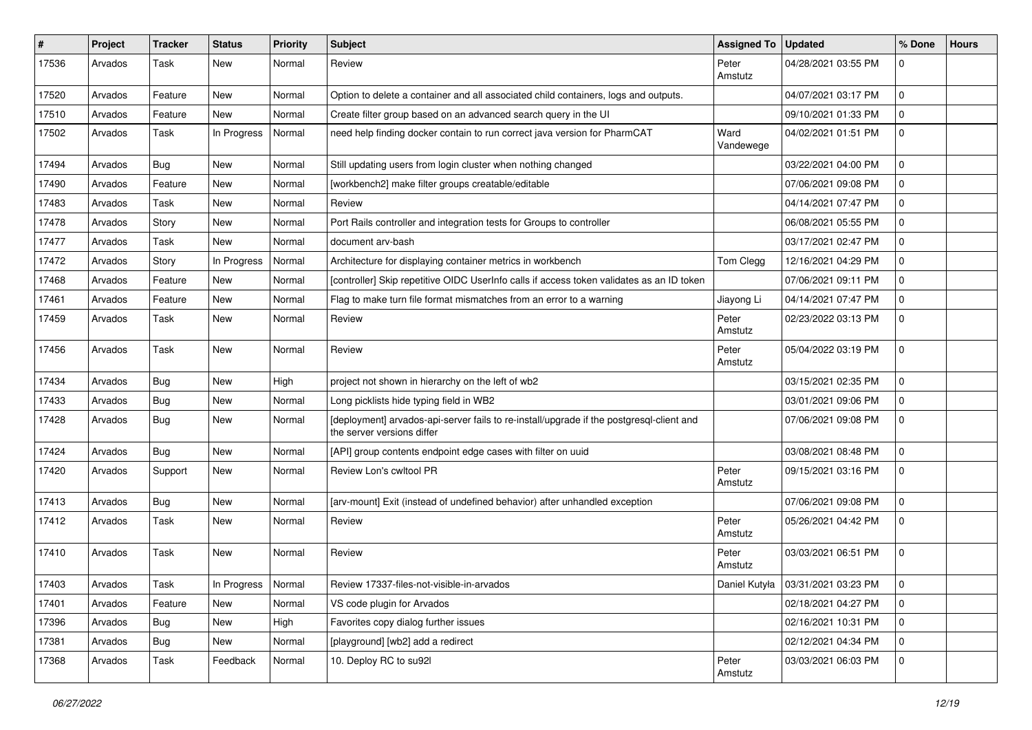| #     | Project | <b>Tracker</b> | <b>Status</b> | <b>Priority</b> | <b>Subject</b>                                                                                                         | Assigned To   Updated |                                     | % Done         | <b>Hours</b> |
|-------|---------|----------------|---------------|-----------------|------------------------------------------------------------------------------------------------------------------------|-----------------------|-------------------------------------|----------------|--------------|
| 17536 | Arvados | Task           | <b>New</b>    | Normal          | Review                                                                                                                 | Peter<br>Amstutz      | 04/28/2021 03:55 PM                 | $\Omega$       |              |
| 17520 | Arvados | Feature        | <b>New</b>    | Normal          | Option to delete a container and all associated child containers, logs and outputs.                                    |                       | 04/07/2021 03:17 PM                 | 0              |              |
| 17510 | Arvados | Feature        | New           | Normal          | Create filter group based on an advanced search query in the UI                                                        |                       | 09/10/2021 01:33 PM                 | $\Omega$       |              |
| 17502 | Arvados | Task           | In Progress   | Normal          | need help finding docker contain to run correct java version for PharmCAT                                              | Ward<br>Vandewege     | 04/02/2021 01:51 PM                 | $\mathbf 0$    |              |
| 17494 | Arvados | Bug            | <b>New</b>    | Normal          | Still updating users from login cluster when nothing changed                                                           |                       | 03/22/2021 04:00 PM                 | $\Omega$       |              |
| 17490 | Arvados | Feature        | <b>New</b>    | Normal          | [workbench2] make filter groups creatable/editable                                                                     |                       | 07/06/2021 09:08 PM                 | $\mathbf 0$    |              |
| 17483 | Arvados | Task           | <b>New</b>    | Normal          | Review                                                                                                                 |                       | 04/14/2021 07:47 PM                 | $\Omega$       |              |
| 17478 | Arvados | Story          | <b>New</b>    | Normal          | Port Rails controller and integration tests for Groups to controller                                                   |                       | 06/08/2021 05:55 PM                 | $\mathbf 0$    |              |
| 17477 | Arvados | Task           | <b>New</b>    | Normal          | document arv-bash                                                                                                      |                       | 03/17/2021 02:47 PM                 | $\overline{0}$ |              |
| 17472 | Arvados | Story          | In Progress   | Normal          | Architecture for displaying container metrics in workbench                                                             | Tom Clegg             | 12/16/2021 04:29 PM                 | $\Omega$       |              |
| 17468 | Arvados | Feature        | <b>New</b>    | Normal          | [controller] Skip repetitive OIDC UserInfo calls if access token validates as an ID token                              |                       | 07/06/2021 09:11 PM                 | $\mathbf 0$    |              |
| 17461 | Arvados | Feature        | New           | Normal          | Flag to make turn file format mismatches from an error to a warning                                                    | Jiayong Li            | 04/14/2021 07:47 PM                 | $\mathbf 0$    |              |
| 17459 | Arvados | Task           | <b>New</b>    | Normal          | Review                                                                                                                 | Peter<br>Amstutz      | 02/23/2022 03:13 PM                 | $\Omega$       |              |
| 17456 | Arvados | Task           | <b>New</b>    | Normal          | Review                                                                                                                 | Peter<br>Amstutz      | 05/04/2022 03:19 PM                 | $\mathbf 0$    |              |
| 17434 | Arvados | Bug            | <b>New</b>    | High            | project not shown in hierarchy on the left of wb2                                                                      |                       | 03/15/2021 02:35 PM                 | $\overline{0}$ |              |
| 17433 | Arvados | Bug            | <b>New</b>    | Normal          | Long picklists hide typing field in WB2                                                                                |                       | 03/01/2021 09:06 PM                 | $\mathbf 0$    |              |
| 17428 | Arvados | Bug            | <b>New</b>    | Normal          | [deployment] arvados-api-server fails to re-install/upgrade if the postgresql-client and<br>the server versions differ |                       | 07/06/2021 09:08 PM                 | $\mathbf 0$    |              |
| 17424 | Arvados | Bug            | <b>New</b>    | Normal          | [API] group contents endpoint edge cases with filter on uuid                                                           |                       | 03/08/2021 08:48 PM                 | $\overline{0}$ |              |
| 17420 | Arvados | Support        | <b>New</b>    | Normal          | Review Lon's cwltool PR                                                                                                | Peter<br>Amstutz      | 09/15/2021 03:16 PM                 | $\mathbf 0$    |              |
| 17413 | Arvados | Bug            | <b>New</b>    | Normal          | [arv-mount] Exit (instead of undefined behavior) after unhandled exception                                             |                       | 07/06/2021 09:08 PM                 | $\mathbf 0$    |              |
| 17412 | Arvados | Task           | <b>New</b>    | Normal          | Review                                                                                                                 | Peter<br>Amstutz      | 05/26/2021 04:42 PM                 | $\mathbf 0$    |              |
| 17410 | Arvados | Task           | <b>New</b>    | Normal          | Review                                                                                                                 | Peter<br>Amstutz      | 03/03/2021 06:51 PM                 | $\Omega$       |              |
| 17403 | Arvados | Task           | In Progress   | Normal          | Review 17337-files-not-visible-in-arvados                                                                              |                       | Daniel Kutyła   03/31/2021 03:23 PM |                |              |
| 17401 | Arvados | Feature        | New           | Normal          | VS code plugin for Arvados                                                                                             |                       | 02/18/2021 04:27 PM                 | l 0            |              |
| 17396 | Arvados | <b>Bug</b>     | New           | High            | Favorites copy dialog further issues                                                                                   |                       | 02/16/2021 10:31 PM                 | 0              |              |
| 17381 | Arvados | Bug            | New           | Normal          | [playground] [wb2] add a redirect                                                                                      |                       | 02/12/2021 04:34 PM                 | 0              |              |
| 17368 | Arvados | Task           | Feedback      | Normal          | 10. Deploy RC to su92l                                                                                                 | Peter<br>Amstutz      | 03/03/2021 06:03 PM                 | l 0            |              |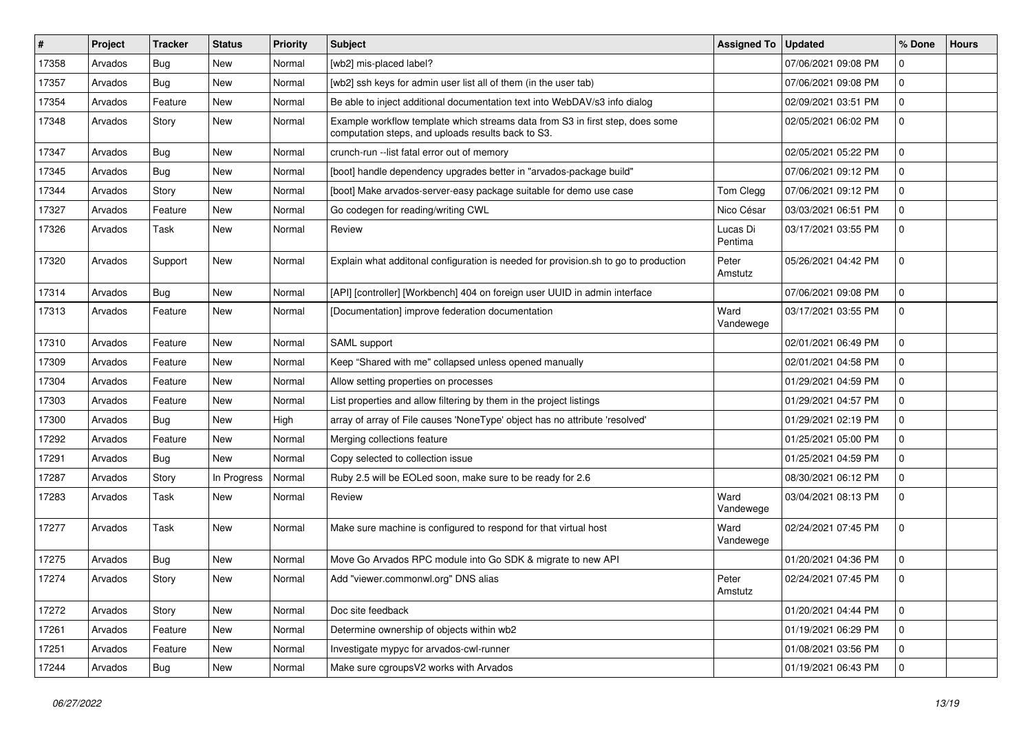| $\sharp$ | Project | <b>Tracker</b> | <b>Status</b> | <b>Priority</b> | Subject                                                                                                                             | Assigned To   Updated |                     | % Done         | <b>Hours</b> |
|----------|---------|----------------|---------------|-----------------|-------------------------------------------------------------------------------------------------------------------------------------|-----------------------|---------------------|----------------|--------------|
| 17358    | Arvados | Bug            | New           | Normal          | [wb2] mis-placed label?                                                                                                             |                       | 07/06/2021 09:08 PM | $\Omega$       |              |
| 17357    | Arvados | Bug            | <b>New</b>    | Normal          | [wb2] ssh keys for admin user list all of them (in the user tab)                                                                    |                       | 07/06/2021 09:08 PM | $\Omega$       |              |
| 17354    | Arvados | Feature        | New           | Normal          | Be able to inject additional documentation text into WebDAV/s3 info dialog                                                          |                       | 02/09/2021 03:51 PM | $\overline{0}$ |              |
| 17348    | Arvados | Story          | New           | Normal          | Example workflow template which streams data from S3 in first step, does some<br>computation steps, and uploads results back to S3. |                       | 02/05/2021 06:02 PM | $\mathbf 0$    |              |
| 17347    | Arvados | Bug            | New           | Normal          | crunch-run --list fatal error out of memory                                                                                         |                       | 02/05/2021 05:22 PM | 0              |              |
| 17345    | Arvados | Bug            | New           | Normal          | [boot] handle dependency upgrades better in "arvados-package build"                                                                 |                       | 07/06/2021 09:12 PM | $\Omega$       |              |
| 17344    | Arvados | Story          | New           | Normal          | [boot] Make arvados-server-easy package suitable for demo use case                                                                  | Tom Clegg             | 07/06/2021 09:12 PM | $\mathbf 0$    |              |
| 17327    | Arvados | Feature        | New           | Normal          | Go codegen for reading/writing CWL                                                                                                  | Nico César            | 03/03/2021 06:51 PM | $\mathbf 0$    |              |
| 17326    | Arvados | Task           | New           | Normal          | Review                                                                                                                              | Lucas Di<br>Pentima   | 03/17/2021 03:55 PM | $\mathbf 0$    |              |
| 17320    | Arvados | Support        | New           | Normal          | Explain what additonal configuration is needed for provision.sh to go to production                                                 | Peter<br>Amstutz      | 05/26/2021 04:42 PM | $\overline{0}$ |              |
| 17314    | Arvados | Bug            | New           | Normal          | [API] [controller] [Workbench] 404 on foreign user UUID in admin interface                                                          |                       | 07/06/2021 09:08 PM | 0              |              |
| 17313    | Arvados | Feature        | New           | Normal          | [Documentation] improve federation documentation                                                                                    | Ward<br>Vandewege     | 03/17/2021 03:55 PM | $\mathbf 0$    |              |
| 17310    | Arvados | Feature        | New           | Normal          | SAML support                                                                                                                        |                       | 02/01/2021 06:49 PM | $\mathbf 0$    |              |
| 17309    | Arvados | Feature        | <b>New</b>    | Normal          | Keep "Shared with me" collapsed unless opened manually                                                                              |                       | 02/01/2021 04:58 PM | $\Omega$       |              |
| 17304    | Arvados | Feature        | New           | Normal          | Allow setting properties on processes                                                                                               |                       | 01/29/2021 04:59 PM | 0              |              |
| 17303    | Arvados | Feature        | New           | Normal          | List properties and allow filtering by them in the project listings                                                                 |                       | 01/29/2021 04:57 PM | $\mathbf 0$    |              |
| 17300    | Arvados | Bug            | New           | High            | array of array of File causes 'NoneType' object has no attribute 'resolved'                                                         |                       | 01/29/2021 02:19 PM | 0              |              |
| 17292    | Arvados | Feature        | New           | Normal          | Merging collections feature                                                                                                         |                       | 01/25/2021 05:00 PM | $\Omega$       |              |
| 17291    | Arvados | Bug            | New           | Normal          | Copy selected to collection issue                                                                                                   |                       | 01/25/2021 04:59 PM | $\Omega$       |              |
| 17287    | Arvados | Story          | In Progress   | Normal          | Ruby 2.5 will be EOLed soon, make sure to be ready for 2.6                                                                          |                       | 08/30/2021 06:12 PM | $\mathbf 0$    |              |
| 17283    | Arvados | Task           | New           | Normal          | Review                                                                                                                              | Ward<br>Vandewege     | 03/04/2021 08:13 PM | $\Omega$       |              |
| 17277    | Arvados | Task           | New           | Normal          | Make sure machine is configured to respond for that virtual host                                                                    | Ward<br>Vandewege     | 02/24/2021 07:45 PM | 0              |              |
| 17275    | Arvados | Bug            | <b>New</b>    | Normal          | Move Go Arvados RPC module into Go SDK & migrate to new API                                                                         |                       | 01/20/2021 04:36 PM | $\mathbf 0$    |              |
| 17274    | Arvados | Story          | New           | Normal          | Add "viewer.commonwl.org" DNS alias                                                                                                 | Peter<br>Amstutz      | 02/24/2021 07:45 PM | $\overline{0}$ |              |
| 17272    | Arvados | Story          | New           | Normal          | Doc site feedback                                                                                                                   |                       | 01/20/2021 04:44 PM | 0              |              |
| 17261    | Arvados | Feature        | New           | Normal          | Determine ownership of objects within wb2                                                                                           |                       | 01/19/2021 06:29 PM | 0              |              |
| 17251    | Arvados | Feature        | New           | Normal          | Investigate mypyc for arvados-cwl-runner                                                                                            |                       | 01/08/2021 03:56 PM | 0              |              |
| 17244    | Arvados | Bug            | New           | Normal          | Make sure cgroupsV2 works with Arvados                                                                                              |                       | 01/19/2021 06:43 PM | 0              |              |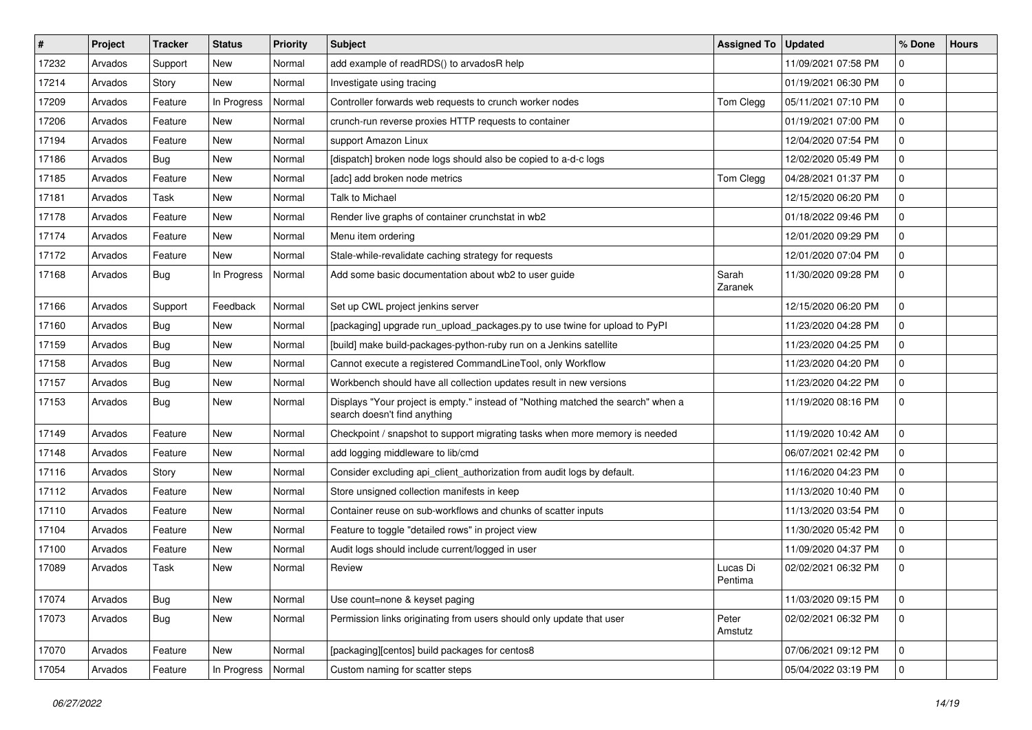| $\vert$ # | Project | <b>Tracker</b> | <b>Status</b> | <b>Priority</b> | Subject                                                                                                          | <b>Assigned To</b>  | <b>Updated</b>      | % Done      | <b>Hours</b> |
|-----------|---------|----------------|---------------|-----------------|------------------------------------------------------------------------------------------------------------------|---------------------|---------------------|-------------|--------------|
| 17232     | Arvados | Support        | New           | Normal          | add example of readRDS() to arvadosR help                                                                        |                     | 11/09/2021 07:58 PM | $\mathbf 0$ |              |
| 17214     | Arvados | Story          | <b>New</b>    | Normal          | Investigate using tracing                                                                                        |                     | 01/19/2021 06:30 PM | $\mathbf 0$ |              |
| 17209     | Arvados | Feature        | In Progress   | Normal          | Controller forwards web requests to crunch worker nodes                                                          | Tom Clegg           | 05/11/2021 07:10 PM | $\mathbf 0$ |              |
| 17206     | Arvados | Feature        | New           | Normal          | crunch-run reverse proxies HTTP requests to container                                                            |                     | 01/19/2021 07:00 PM | $\mathbf 0$ |              |
| 17194     | Arvados | Feature        | <b>New</b>    | Normal          | support Amazon Linux                                                                                             |                     | 12/04/2020 07:54 PM | $\mathbf 0$ |              |
| 17186     | Arvados | Bug            | New           | Normal          | [dispatch] broken node logs should also be copied to a-d-c logs                                                  |                     | 12/02/2020 05:49 PM | $\mathbf 0$ |              |
| 17185     | Arvados | Feature        | <b>New</b>    | Normal          | [adc] add broken node metrics                                                                                    | Tom Clegg           | 04/28/2021 01:37 PM | $\mathbf 0$ |              |
| 17181     | Arvados | Task           | New           | Normal          | Talk to Michael                                                                                                  |                     | 12/15/2020 06:20 PM | $\mathbf 0$ |              |
| 17178     | Arvados | Feature        | <b>New</b>    | Normal          | Render live graphs of container crunchstat in wb2                                                                |                     | 01/18/2022 09:46 PM | $\mathbf 0$ |              |
| 17174     | Arvados | Feature        | <b>New</b>    | Normal          | Menu item ordering                                                                                               |                     | 12/01/2020 09:29 PM | 0           |              |
| 17172     | Arvados | Feature        | New           | Normal          | Stale-while-revalidate caching strategy for requests                                                             |                     | 12/01/2020 07:04 PM | $\mathbf 0$ |              |
| 17168     | Arvados | Bug            | In Progress   | Normal          | Add some basic documentation about wb2 to user guide                                                             | Sarah<br>Zaranek    | 11/30/2020 09:28 PM | $\mathbf 0$ |              |
| 17166     | Arvados | Support        | Feedback      | Normal          | Set up CWL project jenkins server                                                                                |                     | 12/15/2020 06:20 PM | $\mathbf 0$ |              |
| 17160     | Arvados | Bug            | <b>New</b>    | Normal          | [packaging] upgrade run_upload_packages.py to use twine for upload to PyPI                                       |                     | 11/23/2020 04:28 PM | $\mathbf 0$ |              |
| 17159     | Arvados | Bug            | New           | Normal          | [build] make build-packages-python-ruby run on a Jenkins satellite                                               |                     | 11/23/2020 04:25 PM | $\mathbf 0$ |              |
| 17158     | Arvados | Bug            | New           | Normal          | Cannot execute a registered CommandLineTool, only Workflow                                                       |                     | 11/23/2020 04:20 PM | $\mathbf 0$ |              |
| 17157     | Arvados | Bug            | <b>New</b>    | Normal          | Workbench should have all collection updates result in new versions                                              |                     | 11/23/2020 04:22 PM | $\mathbf 0$ |              |
| 17153     | Arvados | Bug            | New           | Normal          | Displays "Your project is empty." instead of "Nothing matched the search" when a<br>search doesn't find anything |                     | 11/19/2020 08:16 PM | $\mathbf 0$ |              |
| 17149     | Arvados | Feature        | <b>New</b>    | Normal          | Checkpoint / snapshot to support migrating tasks when more memory is needed                                      |                     | 11/19/2020 10:42 AM | $\mathbf 0$ |              |
| 17148     | Arvados | Feature        | New           | Normal          | add logging middleware to lib/cmd                                                                                |                     | 06/07/2021 02:42 PM | $\mathbf 0$ |              |
| 17116     | Arvados | Story          | New           | Normal          | Consider excluding api_client_authorization from audit logs by default.                                          |                     | 11/16/2020 04:23 PM | $\mathbf 0$ |              |
| 17112     | Arvados | Feature        | New           | Normal          | Store unsigned collection manifests in keep                                                                      |                     | 11/13/2020 10:40 PM | $\mathbf 0$ |              |
| 17110     | Arvados | Feature        | New           | Normal          | Container reuse on sub-workflows and chunks of scatter inputs                                                    |                     | 11/13/2020 03:54 PM | $\mathbf 0$ |              |
| 17104     | Arvados | Feature        | <b>New</b>    | Normal          | Feature to toggle "detailed rows" in project view                                                                |                     | 11/30/2020 05:42 PM | $\mathbf 0$ |              |
| 17100     | Arvados | Feature        | New           | Normal          | Audit logs should include current/logged in user                                                                 |                     | 11/09/2020 04:37 PM | $\mathbf 0$ |              |
| 17089     | Arvados | Task           | <b>New</b>    | Normal          | Review                                                                                                           | Lucas Di<br>Pentima | 02/02/2021 06:32 PM | $\mathbf 0$ |              |
| 17074     | Arvados | Bug            | New           | Normal          | Use count=none & keyset paging                                                                                   |                     | 11/03/2020 09:15 PM | $\mathbf 0$ |              |
| 17073     | Arvados | Bug            | New           | Normal          | Permission links originating from users should only update that user                                             | Peter<br>Amstutz    | 02/02/2021 06:32 PM | $\mathbf 0$ |              |
| 17070     | Arvados | Feature        | New           | Normal          | [packaging][centos] build packages for centos8                                                                   |                     | 07/06/2021 09:12 PM | 0           |              |
| 17054     | Arvados | Feature        | In Progress   | Normal          | Custom naming for scatter steps                                                                                  |                     | 05/04/2022 03:19 PM | 0           |              |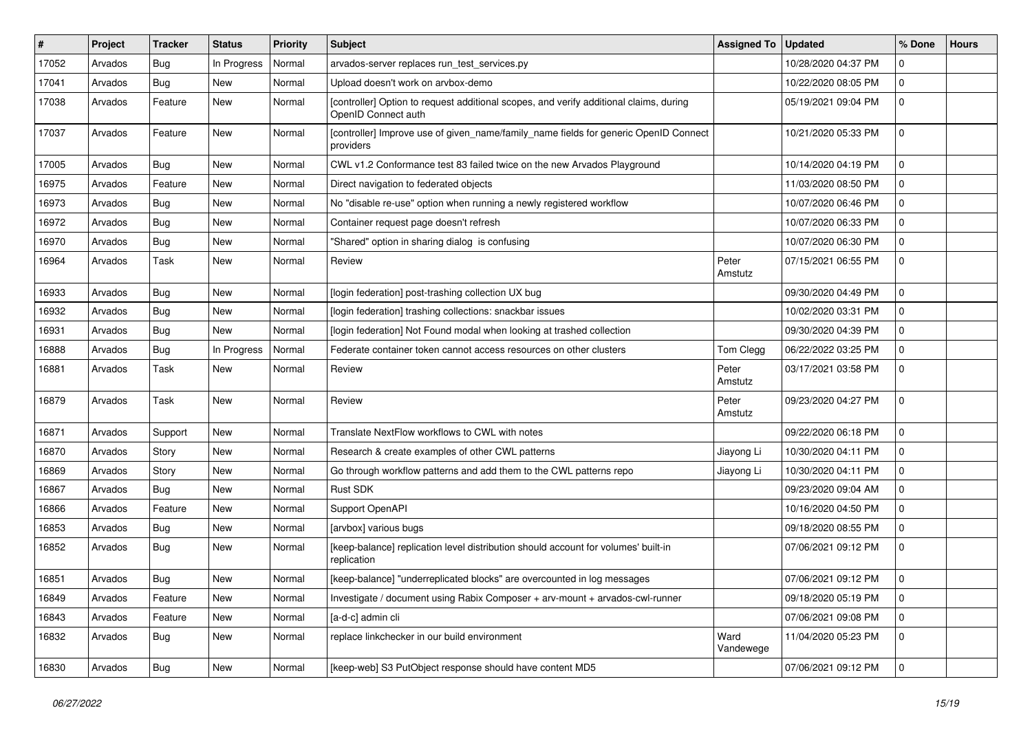| #     | Project | <b>Tracker</b> | <b>Status</b> | <b>Priority</b> | <b>Subject</b>                                                                                                | <b>Assigned To</b> | <b>Updated</b>      | % Done              | <b>Hours</b> |
|-------|---------|----------------|---------------|-----------------|---------------------------------------------------------------------------------------------------------------|--------------------|---------------------|---------------------|--------------|
| 17052 | Arvados | Bug            | In Progress   | Normal          | arvados-server replaces run_test_services.py                                                                  |                    | 10/28/2020 04:37 PM | $\mathbf 0$         |              |
| 17041 | Arvados | <b>Bug</b>     | <b>New</b>    | Normal          | Upload doesn't work on arvbox-demo                                                                            |                    | 10/22/2020 08:05 PM | 0                   |              |
| 17038 | Arvados | Feature        | New           | Normal          | [controller] Option to request additional scopes, and verify additional claims, during<br>OpenID Connect auth |                    | 05/19/2021 09:04 PM | $\mathbf 0$         |              |
| 17037 | Arvados | Feature        | <b>New</b>    | Normal          | [controller] Improve use of given_name/family_name fields for generic OpenID Connect<br>providers             |                    | 10/21/2020 05:33 PM | $\mathbf 0$         |              |
| 17005 | Arvados | Bug            | <b>New</b>    | Normal          | CWL v1.2 Conformance test 83 failed twice on the new Arvados Playground                                       |                    | 10/14/2020 04:19 PM | $\mathbf 0$         |              |
| 16975 | Arvados | Feature        | New           | Normal          | Direct navigation to federated objects                                                                        |                    | 11/03/2020 08:50 PM | 0                   |              |
| 16973 | Arvados | Bug            | <b>New</b>    | Normal          | No "disable re-use" option when running a newly registered workflow                                           |                    | 10/07/2020 06:46 PM | $\mathbf 0$         |              |
| 16972 | Arvados | <b>Bug</b>     | <b>New</b>    | Normal          | Container request page doesn't refresh                                                                        |                    | 10/07/2020 06:33 PM | 0                   |              |
| 16970 | Arvados | Bug            | New           | Normal          | 'Shared" option in sharing dialog is confusing                                                                |                    | 10/07/2020 06:30 PM | 0                   |              |
| 16964 | Arvados | Task           | New           | Normal          | Review                                                                                                        | Peter<br>Amstutz   | 07/15/2021 06:55 PM | 0                   |              |
| 16933 | Arvados | Bug            | New           | Normal          | [login federation] post-trashing collection UX bug                                                            |                    | 09/30/2020 04:49 PM | 0                   |              |
| 16932 | Arvados | Bug            | <b>New</b>    | Normal          | [login federation] trashing collections: snackbar issues                                                      |                    | 10/02/2020 03:31 PM | $\mathbf 0$         |              |
| 16931 | Arvados | Bug            | New           | Normal          | [login federation] Not Found modal when looking at trashed collection                                         |                    | 09/30/2020 04:39 PM | 0                   |              |
| 16888 | Arvados | Bug            | In Progress   | Normal          | Federate container token cannot access resources on other clusters                                            | Tom Clegg          | 06/22/2022 03:25 PM | $\mathbf 0$         |              |
| 16881 | Arvados | Task           | <b>New</b>    | Normal          | Review                                                                                                        | Peter<br>Amstutz   | 03/17/2021 03:58 PM | 0                   |              |
| 16879 | Arvados | Task           | New           | Normal          | Review                                                                                                        | Peter<br>Amstutz   | 09/23/2020 04:27 PM | 0                   |              |
| 16871 | Arvados | Support        | New           | Normal          | Translate NextFlow workflows to CWL with notes                                                                |                    | 09/22/2020 06:18 PM | $\mathbf 0$         |              |
| 16870 | Arvados | Story          | <b>New</b>    | Normal          | Research & create examples of other CWL patterns                                                              | Jiayong Li         | 10/30/2020 04:11 PM | $\mathbf 0$         |              |
| 16869 | Arvados | Story          | New           | Normal          | Go through workflow patterns and add them to the CWL patterns repo                                            | Jiayong Li         | 10/30/2020 04:11 PM | 0                   |              |
| 16867 | Arvados | Bug            | New           | Normal          | Rust SDK                                                                                                      |                    | 09/23/2020 09:04 AM | $\mathbf 0$         |              |
| 16866 | Arvados | Feature        | <b>New</b>    | Normal          | Support OpenAPI                                                                                               |                    | 10/16/2020 04:50 PM | 0                   |              |
| 16853 | Arvados | Bug            | New           | Normal          | [arvbox] various bugs                                                                                         |                    | 09/18/2020 08:55 PM | 0                   |              |
| 16852 | Arvados | Bug            | New           | Normal          | [keep-balance] replication level distribution should account for volumes' built-in<br>replication             |                    | 07/06/2021 09:12 PM | $\mathbf 0$         |              |
| 16851 | Arvados | Bug            | New           | Normal          | [keep-balance] "underreplicated blocks" are overcounted in log messages                                       |                    | 07/06/2021 09:12 PM | $\mathbf 0$         |              |
| 16849 | Arvados | Feature        | New           | Normal          | Investigate / document using Rabix Composer + arv-mount + arvados-cwl-runner                                  |                    | 09/18/2020 05:19 PM | $\mathbf 0$         |              |
| 16843 | Arvados | Feature        | New           | Normal          | [a-d-c] admin cli                                                                                             |                    | 07/06/2021 09:08 PM | $\mathbf 0$         |              |
| 16832 | Arvados | Bug            | New           | Normal          | replace linkchecker in our build environment                                                                  | Ward<br>Vandewege  | 11/04/2020 05:23 PM | $\mathbf 0$         |              |
| 16830 | Arvados | Bug            | New           | Normal          | [keep-web] S3 PutObject response should have content MD5                                                      |                    | 07/06/2021 09:12 PM | $\mathsf{O}\xspace$ |              |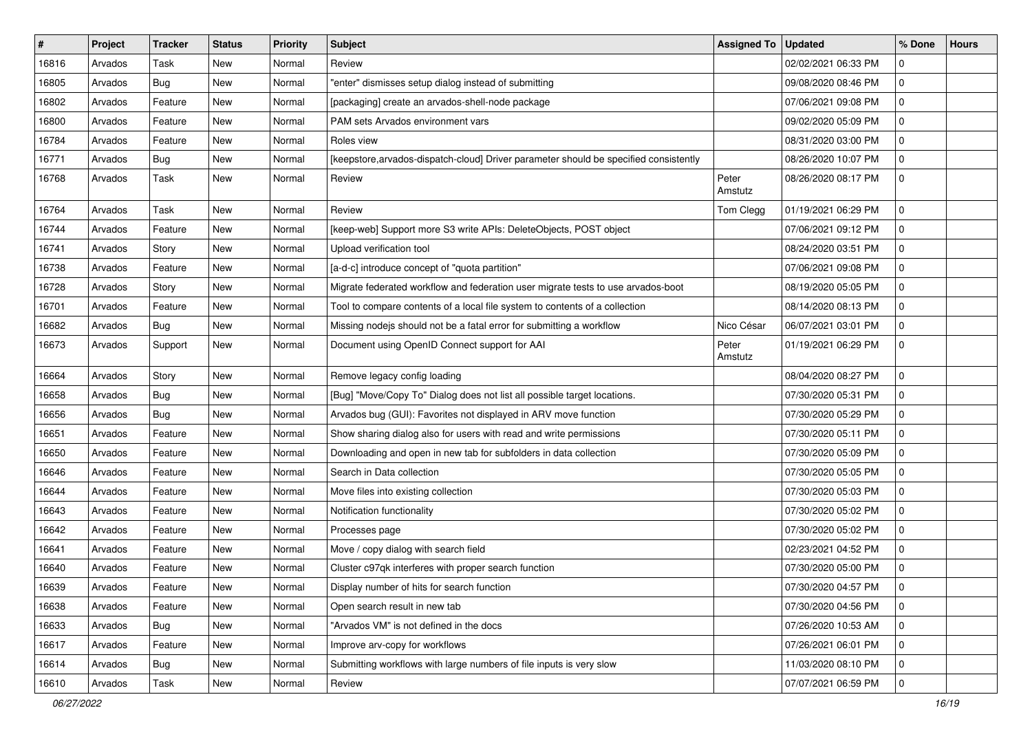| $\vert$ # | Project | <b>Tracker</b> | <b>Status</b> | <b>Priority</b> | <b>Subject</b>                                                                        | <b>Assigned To</b> | <b>Updated</b>      | % Done      | <b>Hours</b> |
|-----------|---------|----------------|---------------|-----------------|---------------------------------------------------------------------------------------|--------------------|---------------------|-------------|--------------|
| 16816     | Arvados | Task           | New           | Normal          | Review                                                                                |                    | 02/02/2021 06:33 PM | 0           |              |
| 16805     | Arvados | Bug            | <b>New</b>    | Normal          | "enter" dismisses setup dialog instead of submitting                                  |                    | 09/08/2020 08:46 PM | $\mathbf 0$ |              |
| 16802     | Arvados | Feature        | New           | Normal          | [packaging] create an arvados-shell-node package                                      |                    | 07/06/2021 09:08 PM | 0           |              |
| 16800     | Arvados | Feature        | New           | Normal          | PAM sets Arvados environment vars                                                     |                    | 09/02/2020 05:09 PM | $\mathbf 0$ |              |
| 16784     | Arvados | Feature        | <b>New</b>    | Normal          | Roles view                                                                            |                    | 08/31/2020 03:00 PM | 0           |              |
| 16771     | Arvados | <b>Bug</b>     | New           | Normal          | [keepstore, arvados-dispatch-cloud] Driver parameter should be specified consistently |                    | 08/26/2020 10:07 PM | 0           |              |
| 16768     | Arvados | Task           | New           | Normal          | Review                                                                                | Peter<br>Amstutz   | 08/26/2020 08:17 PM | 0           |              |
| 16764     | Arvados | Task           | <b>New</b>    | Normal          | Review                                                                                | Tom Clegg          | 01/19/2021 06:29 PM | $\mathbf 0$ |              |
| 16744     | Arvados | Feature        | <b>New</b>    | Normal          | [keep-web] Support more S3 write APIs: DeleteObjects, POST object                     |                    | 07/06/2021 09:12 PM | 0           |              |
| 16741     | Arvados | Story          | New           | Normal          | Upload verification tool                                                              |                    | 08/24/2020 03:51 PM | 0           |              |
| 16738     | Arvados | Feature        | New           | Normal          | [a-d-c] introduce concept of "quota partition"                                        |                    | 07/06/2021 09:08 PM | $\mathbf 0$ |              |
| 16728     | Arvados | Story          | New           | Normal          | Migrate federated workflow and federation user migrate tests to use arvados-boot      |                    | 08/19/2020 05:05 PM | 0           |              |
| 16701     | Arvados | Feature        | New           | Normal          | Tool to compare contents of a local file system to contents of a collection           |                    | 08/14/2020 08:13 PM | 0           |              |
| 16682     | Arvados | Bug            | <b>New</b>    | Normal          | Missing nodejs should not be a fatal error for submitting a workflow                  | Nico César         | 06/07/2021 03:01 PM | $\mathbf 0$ |              |
| 16673     | Arvados | Support        | New           | Normal          | Document using OpenID Connect support for AAI                                         | Peter<br>Amstutz   | 01/19/2021 06:29 PM | $\mathbf 0$ |              |
| 16664     | Arvados | Story          | <b>New</b>    | Normal          | Remove legacy config loading                                                          |                    | 08/04/2020 08:27 PM | 0           |              |
| 16658     | Arvados | <b>Bug</b>     | New           | Normal          | [Bug] "Move/Copy To" Dialog does not list all possible target locations.              |                    | 07/30/2020 05:31 PM | $\mathbf 0$ |              |
| 16656     | Arvados | Bug            | New           | Normal          | Arvados bug (GUI): Favorites not displayed in ARV move function                       |                    | 07/30/2020 05:29 PM | 0           |              |
| 16651     | Arvados | Feature        | New           | Normal          | Show sharing dialog also for users with read and write permissions                    |                    | 07/30/2020 05:11 PM | 0           |              |
| 16650     | Arvados | Feature        | New           | Normal          | Downloading and open in new tab for subfolders in data collection                     |                    | 07/30/2020 05:09 PM | $\mathbf 0$ |              |
| 16646     | Arvados | Feature        | New           | Normal          | Search in Data collection                                                             |                    | 07/30/2020 05:05 PM | 0           |              |
| 16644     | Arvados | Feature        | New           | Normal          | Move files into existing collection                                                   |                    | 07/30/2020 05:03 PM | 0           |              |
| 16643     | Arvados | Feature        | New           | Normal          | Notification functionality                                                            |                    | 07/30/2020 05:02 PM | $\mathbf 0$ |              |
| 16642     | Arvados | Feature        | <b>New</b>    | Normal          | Processes page                                                                        |                    | 07/30/2020 05:02 PM | 0           |              |
| 16641     | Arvados | Feature        | New           | Normal          | Move / copy dialog with search field                                                  |                    | 02/23/2021 04:52 PM | 0           |              |
| 16640     | Arvados | Feature        | New           | Normal          | Cluster c97qk interferes with proper search function                                  |                    | 07/30/2020 05:00 PM | 0           |              |
| 16639     | Arvados | Feature        | New           | Normal          | Display number of hits for search function                                            |                    | 07/30/2020 04:57 PM | 0           |              |
| 16638     | Arvados | Feature        | New           | Normal          | Open search result in new tab                                                         |                    | 07/30/2020 04:56 PM | $\mathbf 0$ |              |
| 16633     | Arvados | Bug            | New           | Normal          | "Arvados VM" is not defined in the docs                                               |                    | 07/26/2020 10:53 AM | 0           |              |
| 16617     | Arvados | Feature        | New           | Normal          | Improve arv-copy for workflows                                                        |                    | 07/26/2021 06:01 PM | 0           |              |
| 16614     | Arvados | <b>Bug</b>     | New           | Normal          | Submitting workflows with large numbers of file inputs is very slow                   |                    | 11/03/2020 08:10 PM | 0           |              |
| 16610     | Arvados | Task           | New           | Normal          | Review                                                                                |                    | 07/07/2021 06:59 PM | $\mathbf 0$ |              |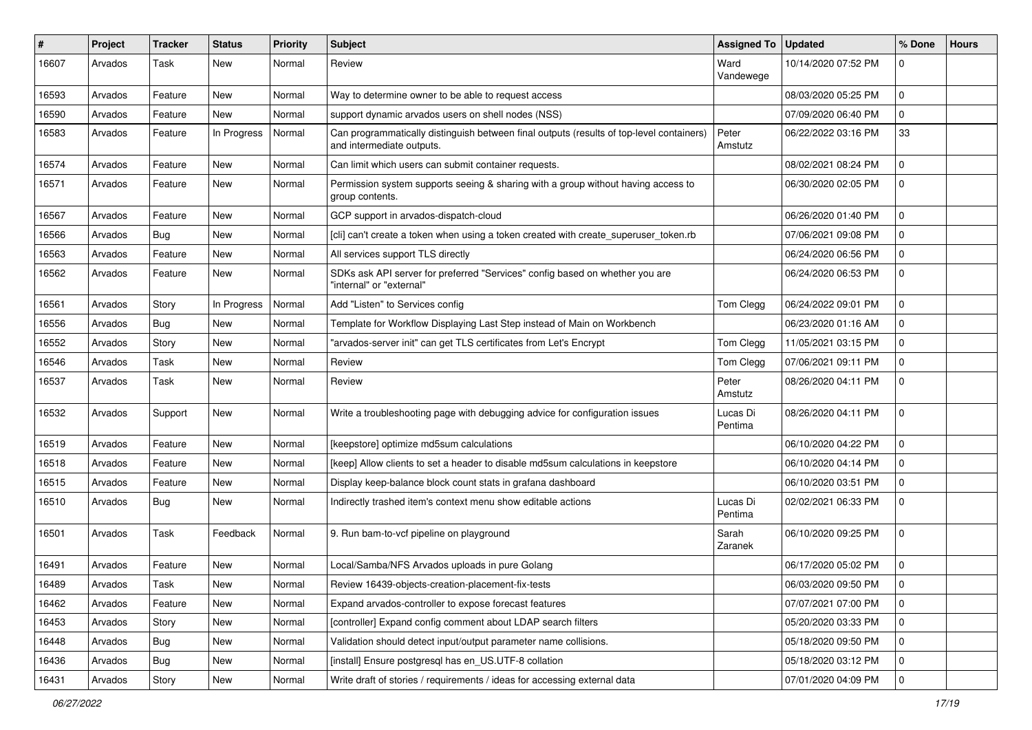| #     | Project | <b>Tracker</b> | <b>Status</b> | <b>Priority</b> | Subject                                                                                                               | <b>Assigned To</b>  | <b>Updated</b>      | % Done      | <b>Hours</b> |
|-------|---------|----------------|---------------|-----------------|-----------------------------------------------------------------------------------------------------------------------|---------------------|---------------------|-------------|--------------|
| 16607 | Arvados | Task           | New           | Normal          | Review                                                                                                                | Ward<br>Vandewege   | 10/14/2020 07:52 PM | $\Omega$    |              |
| 16593 | Arvados | Feature        | New           | Normal          | Way to determine owner to be able to request access                                                                   |                     | 08/03/2020 05:25 PM | $\Omega$    |              |
| 16590 | Arvados | Feature        | New           | Normal          | support dynamic arvados users on shell nodes (NSS)                                                                    |                     | 07/09/2020 06:40 PM | $\Omega$    |              |
| 16583 | Arvados | Feature        | In Progress   | Normal          | Can programmatically distinguish between final outputs (results of top-level containers)<br>and intermediate outputs. | Peter<br>Amstutz    | 06/22/2022 03:16 PM | 33          |              |
| 16574 | Arvados | Feature        | New           | Normal          | Can limit which users can submit container requests.                                                                  |                     | 08/02/2021 08:24 PM | $\Omega$    |              |
| 16571 | Arvados | Feature        | New           | Normal          | Permission system supports seeing & sharing with a group without having access to<br>group contents.                  |                     | 06/30/2020 02:05 PM | $\mathbf 0$ |              |
| 16567 | Arvados | Feature        | <b>New</b>    | Normal          | GCP support in arvados-dispatch-cloud                                                                                 |                     | 06/26/2020 01:40 PM | $\Omega$    |              |
| 16566 | Arvados | Bug            | New           | Normal          | [cli] can't create a token when using a token created with create_superuser_token.rb                                  |                     | 07/06/2021 09:08 PM | $\Omega$    |              |
| 16563 | Arvados | Feature        | New           | Normal          | All services support TLS directly                                                                                     |                     | 06/24/2020 06:56 PM | $\Omega$    |              |
| 16562 | Arvados | Feature        | New           | Normal          | SDKs ask API server for preferred "Services" config based on whether you are<br>"internal" or "external"              |                     | 06/24/2020 06:53 PM | $\Omega$    |              |
| 16561 | Arvados | Story          | In Progress   | Normal          | Add "Listen" to Services config                                                                                       | Tom Clegg           | 06/24/2022 09:01 PM | $\Omega$    |              |
| 16556 | Arvados | <b>Bug</b>     | New           | Normal          | Template for Workflow Displaying Last Step instead of Main on Workbench                                               |                     | 06/23/2020 01:16 AM | $\mathbf 0$ |              |
| 16552 | Arvados | Story          | New           | Normal          | 'arvados-server init" can get TLS certificates from Let's Encrypt                                                     | Tom Clegg           | 11/05/2021 03:15 PM | $\Omega$    |              |
| 16546 | Arvados | Task           | New           | Normal          | Review                                                                                                                | Tom Clegg           | 07/06/2021 09:11 PM | 0           |              |
| 16537 | Arvados | Task           | New           | Normal          | Review                                                                                                                | Peter<br>Amstutz    | 08/26/2020 04:11 PM | $\Omega$    |              |
| 16532 | Arvados | Support        | New           | Normal          | Write a troubleshooting page with debugging advice for configuration issues                                           | Lucas Di<br>Pentima | 08/26/2020 04:11 PM | $\Omega$    |              |
| 16519 | Arvados | Feature        | <b>New</b>    | Normal          | [keepstore] optimize md5sum calculations                                                                              |                     | 06/10/2020 04:22 PM | $\Omega$    |              |
| 16518 | Arvados | Feature        | New           | Normal          | [keep] Allow clients to set a header to disable md5sum calculations in keepstore                                      |                     | 06/10/2020 04:14 PM | $\Omega$    |              |
| 16515 | Arvados | Feature        | New           | Normal          | Display keep-balance block count stats in grafana dashboard                                                           |                     | 06/10/2020 03:51 PM | $\Omega$    |              |
| 16510 | Arvados | <b>Bug</b>     | New           | Normal          | Indirectly trashed item's context menu show editable actions                                                          | Lucas Di<br>Pentima | 02/02/2021 06:33 PM | $\mathbf 0$ |              |
| 16501 | Arvados | Task           | Feedback      | Normal          | 9. Run bam-to-vcf pipeline on playground                                                                              | Sarah<br>Zaranek    | 06/10/2020 09:25 PM | $\Omega$    |              |
| 16491 | Arvados | Feature        | New           | Normal          | Local/Samba/NFS Arvados uploads in pure Golang                                                                        |                     | 06/17/2020 05:02 PM | $\Omega$    |              |
| 16489 | Arvados | Task           | New           | Normal          | Review 16439-objects-creation-placement-fix-tests                                                                     |                     | 06/03/2020 09:50 PM |             |              |
| 16462 | Arvados | Feature        | New           | Normal          | Expand arvados-controller to expose forecast features                                                                 |                     | 07/07/2021 07:00 PM | $\mathbf 0$ |              |
| 16453 | Arvados | Story          | New           | Normal          | [controller] Expand config comment about LDAP search filters                                                          |                     | 05/20/2020 03:33 PM | $\Omega$    |              |
| 16448 | Arvados | Bug            | New           | Normal          | Validation should detect input/output parameter name collisions.                                                      |                     | 05/18/2020 09:50 PM | $\mathbf 0$ |              |
| 16436 | Arvados | <b>Bug</b>     | New           | Normal          | [install] Ensure postgresql has en_US.UTF-8 collation                                                                 |                     | 05/18/2020 03:12 PM | $\mathbf 0$ |              |
| 16431 | Arvados | Story          | New           | Normal          | Write draft of stories / requirements / ideas for accessing external data                                             |                     | 07/01/2020 04:09 PM | $\mathbf 0$ |              |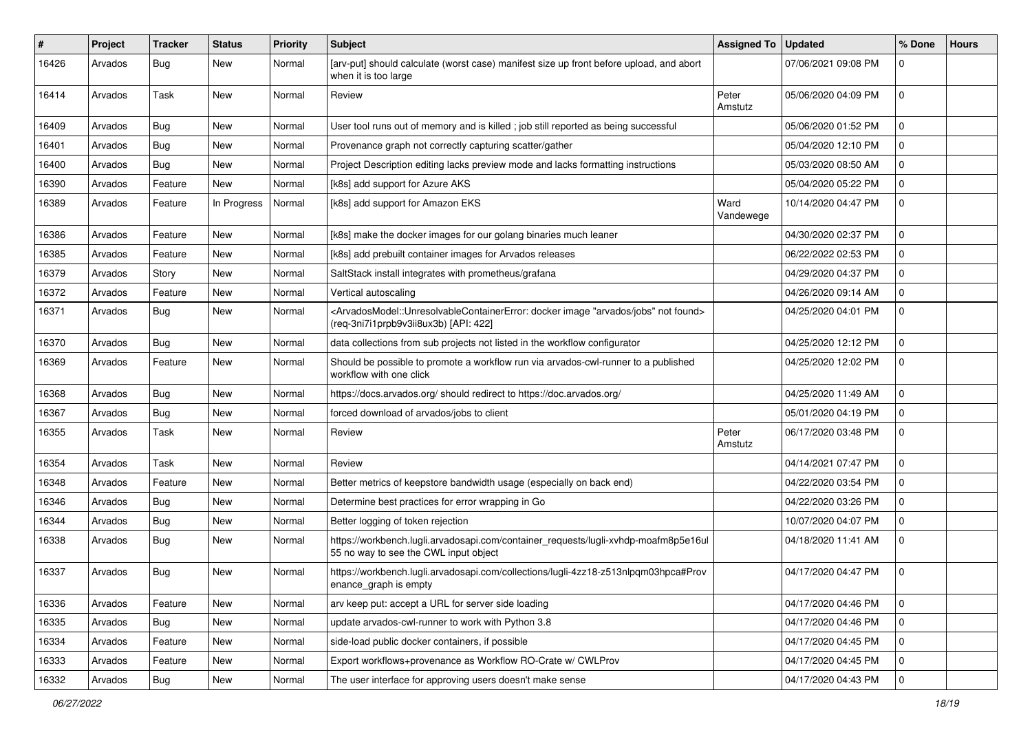| ∦     | Project | <b>Tracker</b> | <b>Status</b> | <b>Priority</b> | <b>Subject</b>                                                                                                                                                                            | <b>Assigned To</b> | <b>Updated</b>      | % Done      | <b>Hours</b> |
|-------|---------|----------------|---------------|-----------------|-------------------------------------------------------------------------------------------------------------------------------------------------------------------------------------------|--------------------|---------------------|-------------|--------------|
| 16426 | Arvados | Bug            | <b>New</b>    | Normal          | [arv-put] should calculate (worst case) manifest size up front before upload, and abort<br>when it is too large                                                                           |                    | 07/06/2021 09:08 PM | $\Omega$    |              |
| 16414 | Arvados | Task           | <b>New</b>    | Normal          | Review                                                                                                                                                                                    | Peter<br>Amstutz   | 05/06/2020 04:09 PM | 0           |              |
| 16409 | Arvados | Bug            | <b>New</b>    | Normal          | User tool runs out of memory and is killed; job still reported as being successful                                                                                                        |                    | 05/06/2020 01:52 PM | $\mathbf 0$ |              |
| 16401 | Arvados | Bug            | <b>New</b>    | Normal          | Provenance graph not correctly capturing scatter/gather                                                                                                                                   |                    | 05/04/2020 12:10 PM | $\Omega$    |              |
| 16400 | Arvados | Bug            | <b>New</b>    | Normal          | Project Description editing lacks preview mode and lacks formatting instructions                                                                                                          |                    | 05/03/2020 08:50 AM | $\Omega$    |              |
| 16390 | Arvados | Feature        | New           | Normal          | [k8s] add support for Azure AKS                                                                                                                                                           |                    | 05/04/2020 05:22 PM | 0           |              |
| 16389 | Arvados | Feature        | In Progress   | Normal          | [k8s] add support for Amazon EKS                                                                                                                                                          | Ward<br>Vandewege  | 10/14/2020 04:47 PM | $\Omega$    |              |
| 16386 | Arvados | Feature        | <b>New</b>    | Normal          | [k8s] make the docker images for our golang binaries much leaner                                                                                                                          |                    | 04/30/2020 02:37 PM | 0           |              |
| 16385 | Arvados | Feature        | <b>New</b>    | Normal          | [k8s] add prebuilt container images for Arvados releases                                                                                                                                  |                    | 06/22/2022 02:53 PM | $\mathbf 0$ |              |
| 16379 | Arvados | Story          | <b>New</b>    | Normal          | SaltStack install integrates with prometheus/grafana                                                                                                                                      |                    | 04/29/2020 04:37 PM | 0           |              |
| 16372 | Arvados | Feature        | <b>New</b>    | Normal          | Vertical autoscaling                                                                                                                                                                      |                    | 04/26/2020 09:14 AM | 0           |              |
| 16371 | Arvados | Bug            | <b>New</b>    | Normal          | <arvadosmodel::unresolvablecontainererror: "arvados="" docker="" found="" image="" jobs"="" not=""><br/>(req-3ni7i1prpb9v3ii8ux3b) [API: 422]</arvadosmodel::unresolvablecontainererror:> |                    | 04/25/2020 04:01 PM | $\mathbf 0$ |              |
| 16370 | Arvados | Bug            | <b>New</b>    | Normal          | data collections from sub projects not listed in the workflow configurator                                                                                                                |                    | 04/25/2020 12:12 PM | $\Omega$    |              |
| 16369 | Arvados | Feature        | <b>New</b>    | Normal          | Should be possible to promote a workflow run via arvados-cwl-runner to a published<br>workflow with one click                                                                             |                    | 04/25/2020 12:02 PM | $\mathbf 0$ |              |
| 16368 | Arvados | Bug            | <b>New</b>    | Normal          | https://docs.arvados.org/ should redirect to https://doc.arvados.org/                                                                                                                     |                    | 04/25/2020 11:49 AM | $\Omega$    |              |
| 16367 | Arvados | Bug            | <b>New</b>    | Normal          | forced download of arvados/jobs to client                                                                                                                                                 |                    | 05/01/2020 04:19 PM | $\mathbf 0$ |              |
| 16355 | Arvados | Task           | <b>New</b>    | Normal          | Review                                                                                                                                                                                    | Peter<br>Amstutz   | 06/17/2020 03:48 PM | $\mathbf 0$ |              |
| 16354 | Arvados | Task           | <b>New</b>    | Normal          | Review                                                                                                                                                                                    |                    | 04/14/2021 07:47 PM | 0           |              |
| 16348 | Arvados | Feature        | <b>New</b>    | Normal          | Better metrics of keepstore bandwidth usage (especially on back end)                                                                                                                      |                    | 04/22/2020 03:54 PM | $\Omega$    |              |
| 16346 | Arvados | <b>Bug</b>     | <b>New</b>    | Normal          | Determine best practices for error wrapping in Go                                                                                                                                         |                    | 04/22/2020 03:26 PM | $\mathbf 0$ |              |
| 16344 | Arvados | Bug            | <b>New</b>    | Normal          | Better logging of token rejection                                                                                                                                                         |                    | 10/07/2020 04:07 PM | $\mathbf 0$ |              |
| 16338 | Arvados | Bug            | New           | Normal          | https://workbench.lugli.arvadosapi.com/container_requests/lugli-xvhdp-moafm8p5e16ul<br>55 no way to see the CWL input object                                                              |                    | 04/18/2020 11:41 AM | 0           |              |
| 16337 | Arvados | Bug            | <b>New</b>    | Normal          | https://workbench.lugli.arvadosapi.com/collections/lugli-4zz18-z513nlpqm03hpca#Prov<br>enance_graph is empty                                                                              |                    | 04/17/2020 04:47 PM | $\Omega$    |              |
| 16336 | Arvados | Feature        | New           | Normal          | arv keep put: accept a URL for server side loading                                                                                                                                        |                    | 04/17/2020 04:46 PM | 0           |              |
| 16335 | Arvados | <b>Bug</b>     | New           | Normal          | update arvados-cwl-runner to work with Python 3.8                                                                                                                                         |                    | 04/17/2020 04:46 PM | 0           |              |
| 16334 | Arvados | Feature        | <b>New</b>    | Normal          | side-load public docker containers, if possible                                                                                                                                           |                    | 04/17/2020 04:45 PM | 0           |              |
| 16333 | Arvados | Feature        | New           | Normal          | Export workflows+provenance as Workflow RO-Crate w/ CWLProv                                                                                                                               |                    | 04/17/2020 04:45 PM | l 0         |              |
| 16332 | Arvados | Bug            | New           | Normal          | The user interface for approving users doesn't make sense                                                                                                                                 |                    | 04/17/2020 04:43 PM | 0           |              |